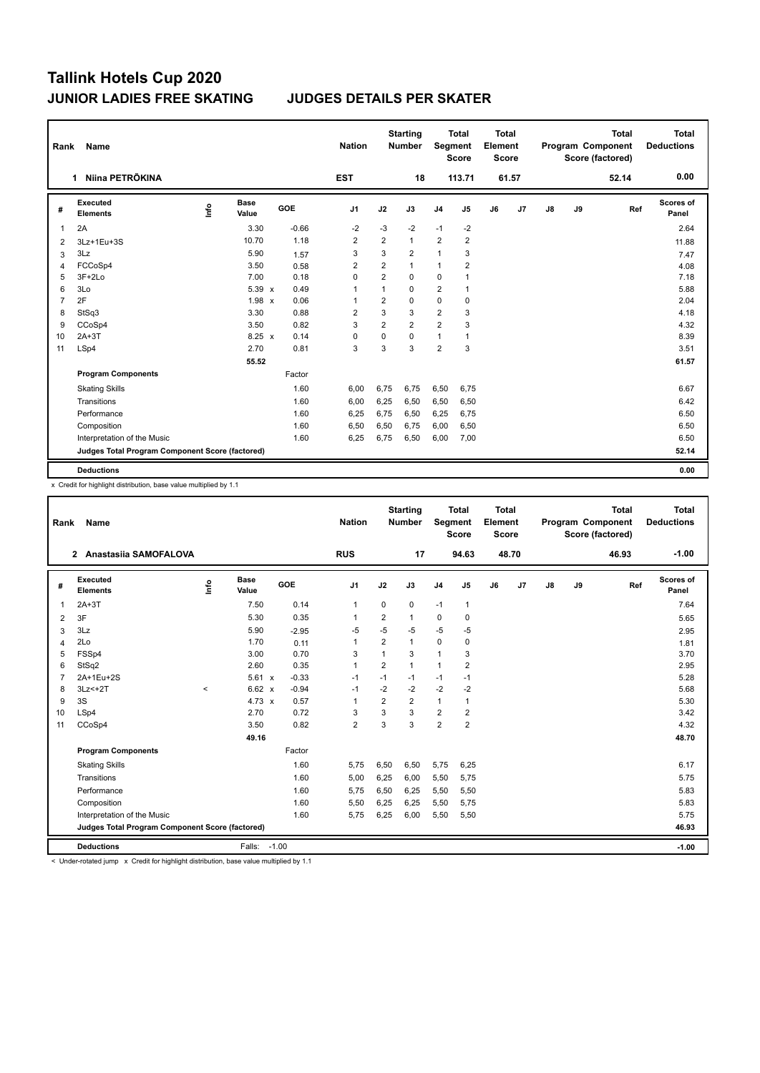| Rank           | Name                                            |      |                      |            | <b>Nation</b>  |                | <b>Starting</b><br><b>Number</b> | Segment        | Total<br><b>Score</b> | <b>Total</b><br>Element<br><b>Score</b> |                |               |    | <b>Total</b><br>Program Component<br>Score (factored) | <b>Total</b><br><b>Deductions</b> |
|----------------|-------------------------------------------------|------|----------------------|------------|----------------|----------------|----------------------------------|----------------|-----------------------|-----------------------------------------|----------------|---------------|----|-------------------------------------------------------|-----------------------------------|
|                | Niina PETRÕKINA<br>1.                           |      |                      |            | <b>EST</b>     |                | 18                               |                | 113.71                |                                         | 61.57          |               |    | 52.14                                                 | 0.00                              |
| #              | Executed<br><b>Elements</b>                     | ١nf٥ | <b>Base</b><br>Value | <b>GOE</b> | J <sub>1</sub> | J2             | J3                               | J <sub>4</sub> | J <sub>5</sub>        | J6                                      | J <sub>7</sub> | $\mathsf{J}8$ | J9 | Ref                                                   | Scores of<br>Panel                |
| 1              | 2A                                              |      | 3.30                 | $-0.66$    | $-2$           | $-3$           | $-2$                             | $-1$           | $-2$                  |                                         |                |               |    |                                                       | 2.64                              |
| 2              | 3Lz+1Eu+3S                                      |      | 10.70                | 1.18       | $\overline{2}$ | $\overline{2}$ | $\mathbf{1}$                     | $\overline{2}$ | $\overline{2}$        |                                         |                |               |    |                                                       | 11.88                             |
| 3              | 3Lz                                             |      | 5.90                 | 1.57       | 3              | 3              | $\overline{\mathbf{c}}$          | $\mathbf{1}$   | 3                     |                                         |                |               |    |                                                       | 7.47                              |
| 4              | FCCoSp4                                         |      | 3.50                 | 0.58       | $\overline{2}$ | $\overline{2}$ | $\mathbf{1}$                     | 1              | 2                     |                                         |                |               |    |                                                       | 4.08                              |
| 5              | $3F+2Lo$                                        |      | 7.00                 | 0.18       | 0              | $\overline{2}$ | 0                                | 0              | 1                     |                                         |                |               |    |                                                       | 7.18                              |
| 6              | 3Lo                                             |      | 5.39 x               | 0.49       | 1              | $\mathbf{1}$   | 0                                | $\overline{2}$ | 1                     |                                         |                |               |    |                                                       | 5.88                              |
| $\overline{7}$ | 2F                                              |      | 1.98 x               | 0.06       | $\overline{1}$ | $\overline{2}$ | $\Omega$                         | 0              | 0                     |                                         |                |               |    |                                                       | 2.04                              |
| 8              | StSq3                                           |      | 3.30                 | 0.88       | $\overline{2}$ | 3              | 3                                | $\overline{2}$ | 3                     |                                         |                |               |    |                                                       | 4.18                              |
| 9              | CCoSp4                                          |      | 3.50                 | 0.82       | 3              | $\overline{2}$ | $\overline{2}$                   | $\overline{2}$ | 3                     |                                         |                |               |    |                                                       | 4.32                              |
| 10             | $2A+3T$                                         |      | $8.25 \times$        | 0.14       | 0              | 0              | $\Omega$                         | $\mathbf{1}$   | 1                     |                                         |                |               |    |                                                       | 8.39                              |
| 11             | LSp4                                            |      | 2.70                 | 0.81       | 3              | 3              | 3                                | $\overline{2}$ | 3                     |                                         |                |               |    |                                                       | 3.51                              |
|                |                                                 |      | 55.52                |            |                |                |                                  |                |                       |                                         |                |               |    |                                                       | 61.57                             |
|                | <b>Program Components</b>                       |      |                      | Factor     |                |                |                                  |                |                       |                                         |                |               |    |                                                       |                                   |
|                | <b>Skating Skills</b>                           |      |                      | 1.60       | 6,00           | 6,75           | 6,75                             | 6,50           | 6,75                  |                                         |                |               |    |                                                       | 6.67                              |
|                | Transitions                                     |      |                      | 1.60       | 6,00           | 6,25           | 6,50                             | 6,50           | 6,50                  |                                         |                |               |    |                                                       | 6.42                              |
|                | Performance                                     |      |                      | 1.60       | 6,25           | 6.75           | 6,50                             | 6,25           | 6,75                  |                                         |                |               |    |                                                       | 6.50                              |
|                | Composition                                     |      |                      | 1.60       | 6,50           | 6,50           | 6,75                             | 6,00           | 6,50                  |                                         |                |               |    |                                                       | 6.50                              |
|                | Interpretation of the Music                     |      |                      | 1.60       | 6,25           | 6,75           | 6,50                             | 6,00           | 7,00                  |                                         |                |               |    |                                                       | 6.50                              |
|                | Judges Total Program Component Score (factored) |      |                      |            |                |                |                                  |                |                       |                                         |                |               |    |                                                       | 52.14                             |
|                | <b>Deductions</b>                               |      |                      |            |                |                |                                  |                |                       |                                         |                |               |    |                                                       | 0.00                              |

x Credit for highlight distribution, base value multiplied by 1.1

| Rank           | Name                                            |          |                      |            |         | <b>Nation</b>  |                         | <b>Starting</b><br><b>Number</b> | Segment        | <b>Total</b><br><b>Score</b> | <b>Total</b><br>Element<br><b>Score</b> |       |    |    | <b>Total</b><br>Program Component<br>Score (factored) | <b>Total</b><br><b>Deductions</b> |
|----------------|-------------------------------------------------|----------|----------------------|------------|---------|----------------|-------------------------|----------------------------------|----------------|------------------------------|-----------------------------------------|-------|----|----|-------------------------------------------------------|-----------------------------------|
|                | 2 Anastasiia SAMOFALOVA                         |          |                      |            |         | <b>RUS</b>     |                         | 17                               |                | 94.63                        |                                         | 48.70 |    |    | 46.93                                                 | $-1.00$                           |
| #              | Executed<br><b>Elements</b>                     | Linfo    | <b>Base</b><br>Value | <b>GOE</b> |         | J1             | J2                      | J3                               | J <sub>4</sub> | J <sub>5</sub>               | J6                                      | J7    | J8 | J9 | Ref                                                   | <b>Scores of</b><br>Panel         |
| $\mathbf{1}$   | $2A+3T$                                         |          | 7.50                 |            | 0.14    | $\mathbf{1}$   | 0                       | 0                                | $-1$           | $\mathbf{1}$                 |                                         |       |    |    |                                                       | 7.64                              |
| 2              | 3F                                              |          | 5.30                 |            | 0.35    | 1              | $\overline{2}$          | $\mathbf{1}$                     | $\mathbf 0$    | $\mathbf 0$                  |                                         |       |    |    |                                                       | 5.65                              |
| 3              | 3Lz                                             |          | 5.90                 |            | $-2.95$ | -5             | $-5$                    | $-5$                             | $-5$           | $-5$                         |                                         |       |    |    |                                                       | 2.95                              |
| $\overline{4}$ | 2Lo                                             |          | 1.70                 |            | 0.11    | 1              | $\overline{\mathbf{c}}$ | $\mathbf{1}$                     | $\mathbf 0$    | 0                            |                                         |       |    |    |                                                       | 1.81                              |
| 5              | FSSp4                                           |          | 3.00                 |            | 0.70    | 3              | 1                       | 3                                | $\mathbf{1}$   | 3                            |                                         |       |    |    |                                                       | 3.70                              |
| 6              | StSq2                                           |          | 2.60                 |            | 0.35    | 1              | $\overline{2}$          | 1                                | $\mathbf{1}$   | $\overline{2}$               |                                         |       |    |    |                                                       | 2.95                              |
| $\overline{7}$ | 2A+1Eu+2S                                       |          | 5.61 x               |            | $-0.33$ | $-1$           | $-1$                    | $-1$                             | $-1$           | $-1$                         |                                         |       |    |    |                                                       | 5.28                              |
| 8              | $3Lz<+2T$                                       | $\hat{}$ | 6.62 x               |            | $-0.94$ | $-1$           | $-2$                    | $-2$                             | $-2$           | $-2$                         |                                         |       |    |    |                                                       | 5.68                              |
| 9              | 3S                                              |          | 4.73 $x$             |            | 0.57    | $\mathbf{1}$   | $\overline{2}$          | $\overline{2}$                   | $\mathbf{1}$   | 1                            |                                         |       |    |    |                                                       | 5.30                              |
| 10             | LSp4                                            |          | 2.70                 |            | 0.72    | 3              | 3                       | 3                                | $\overline{2}$ | $\overline{2}$               |                                         |       |    |    |                                                       | 3.42                              |
| 11             | CCoSp4                                          |          | 3.50                 |            | 0.82    | $\overline{2}$ | 3                       | 3                                | $\overline{2}$ | $\overline{2}$               |                                         |       |    |    |                                                       | 4.32                              |
|                |                                                 |          | 49.16                |            |         |                |                         |                                  |                |                              |                                         |       |    |    |                                                       | 48.70                             |
|                | <b>Program Components</b>                       |          |                      |            | Factor  |                |                         |                                  |                |                              |                                         |       |    |    |                                                       |                                   |
|                | <b>Skating Skills</b>                           |          |                      |            | 1.60    | 5,75           | 6,50                    | 6,50                             | 5,75           | 6,25                         |                                         |       |    |    |                                                       | 6.17                              |
|                | Transitions                                     |          |                      |            | 1.60    | 5,00           | 6,25                    | 6,00                             | 5,50           | 5,75                         |                                         |       |    |    |                                                       | 5.75                              |
|                | Performance                                     |          |                      |            | 1.60    | 5,75           | 6,50                    | 6,25                             | 5,50           | 5,50                         |                                         |       |    |    |                                                       | 5.83                              |
|                | Composition                                     |          |                      |            | 1.60    | 5,50           | 6,25                    | 6,25                             | 5,50           | 5,75                         |                                         |       |    |    |                                                       | 5.83                              |
|                | Interpretation of the Music                     |          |                      |            | 1.60    | 5,75           | 6,25                    | 6,00                             | 5,50           | 5,50                         |                                         |       |    |    |                                                       | 5.75                              |
|                | Judges Total Program Component Score (factored) |          |                      |            |         |                |                         |                                  |                |                              |                                         |       |    |    |                                                       | 46.93                             |
|                | <b>Deductions</b>                               |          | Falls:               | $-1.00$    |         |                |                         |                                  |                |                              |                                         |       |    |    |                                                       | $-1.00$                           |

< Under-rotated jump x Credit for highlight distribution, base value multiplied by 1.1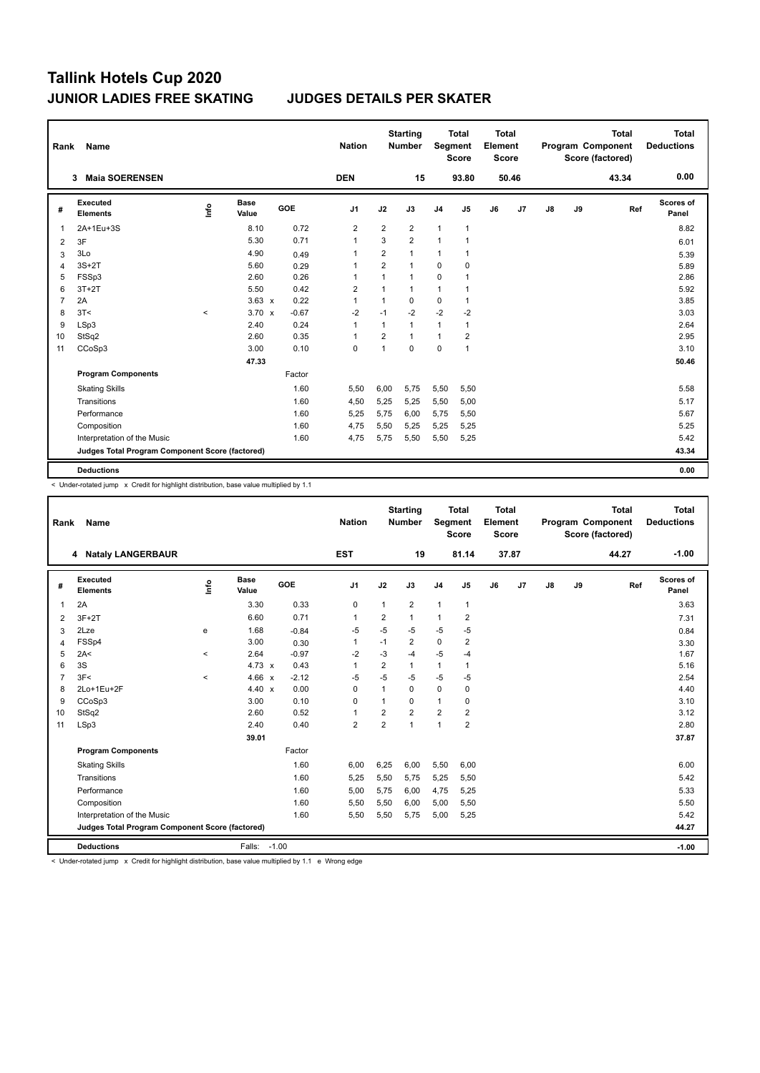| Rank           | Name                                            |         |                      |            | <b>Nation</b>  |                | <b>Starting</b><br><b>Number</b> | Segment        | Total<br><b>Score</b> | <b>Total</b><br>Element<br><b>Score</b> |                |               |    | <b>Total</b><br>Program Component<br>Score (factored) | <b>Total</b><br><b>Deductions</b> |
|----------------|-------------------------------------------------|---------|----------------------|------------|----------------|----------------|----------------------------------|----------------|-----------------------|-----------------------------------------|----------------|---------------|----|-------------------------------------------------------|-----------------------------------|
|                | <b>Maia SOERENSEN</b><br>3                      |         |                      |            | <b>DEN</b>     |                | 15                               |                | 93.80                 |                                         | 50.46          |               |    | 43.34                                                 | 0.00                              |
| #              | Executed<br><b>Elements</b>                     | ١nf٥    | <b>Base</b><br>Value | <b>GOE</b> | J <sub>1</sub> | J2             | J3                               | J <sub>4</sub> | J5                    | J6                                      | J <sub>7</sub> | $\mathsf{J}8$ | J9 | Ref                                                   | Scores of<br>Panel                |
| 1              | 2A+1Eu+3S                                       |         | 8.10                 | 0.72       | $\overline{2}$ | $\overline{2}$ | $\overline{2}$                   | $\mathbf{1}$   | 1                     |                                         |                |               |    |                                                       | 8.82                              |
| 2              | 3F                                              |         | 5.30                 | 0.71       | $\overline{1}$ | 3              | $\overline{2}$                   | $\mathbf{1}$   | $\mathbf{1}$          |                                         |                |               |    |                                                       | 6.01                              |
| 3              | 3Lo                                             |         | 4.90                 | 0.49       | 1              | $\overline{2}$ | $\mathbf{1}$                     | 1              | 1                     |                                         |                |               |    |                                                       | 5.39                              |
| 4              | $3S+2T$                                         |         | 5.60                 | 0.29       | 1              | $\overline{2}$ | $\mathbf{1}$                     | $\Omega$       | $\mathbf 0$           |                                         |                |               |    |                                                       | 5.89                              |
| 5              | FSSp3                                           |         | 2.60                 | 0.26       | 1              | 1              | $\mathbf{1}$                     | 0              | 1                     |                                         |                |               |    |                                                       | 2.86                              |
| 6              | $3T+2T$                                         |         | 5.50                 | 0.42       | $\overline{2}$ | $\mathbf{1}$   | $\mathbf{1}$                     | $\mathbf{1}$   | 1                     |                                         |                |               |    |                                                       | 5.92                              |
| $\overline{7}$ | 2A                                              |         | $3.63 \times$        | 0.22       | $\mathbf{1}$   | 1              | $\Omega$                         | 0              | $\mathbf{1}$          |                                         |                |               |    |                                                       | 3.85                              |
| 8              | 3T<                                             | $\prec$ | $3.70 \times$        | $-0.67$    | $-2$           | $-1$           | $-2$                             | $-2$           | $-2$                  |                                         |                |               |    |                                                       | 3.03                              |
| 9              | LSp3                                            |         | 2.40                 | 0.24       | $\mathbf{1}$   | 1              | 1                                | 1              | $\mathbf{1}$          |                                         |                |               |    |                                                       | 2.64                              |
| 10             | StSq2                                           |         | 2.60                 | 0.35       | 1              | $\overline{2}$ | 1                                | $\mathbf{1}$   | 2                     |                                         |                |               |    |                                                       | 2.95                              |
| 11             | CCoSp3                                          |         | 3.00                 | 0.10       | 0              | 1              | $\Omega$                         | 0              | $\mathbf{1}$          |                                         |                |               |    |                                                       | 3.10                              |
|                |                                                 |         | 47.33                |            |                |                |                                  |                |                       |                                         |                |               |    |                                                       | 50.46                             |
|                | <b>Program Components</b>                       |         |                      | Factor     |                |                |                                  |                |                       |                                         |                |               |    |                                                       |                                   |
|                | <b>Skating Skills</b>                           |         |                      | 1.60       | 5,50           | 6,00           | 5,75                             | 5,50           | 5,50                  |                                         |                |               |    |                                                       | 5.58                              |
|                | Transitions                                     |         |                      | 1.60       | 4,50           | 5,25           | 5,25                             | 5,50           | 5,00                  |                                         |                |               |    |                                                       | 5.17                              |
|                | Performance                                     |         |                      | 1.60       | 5,25           | 5,75           | 6,00                             | 5,75           | 5,50                  |                                         |                |               |    |                                                       | 5.67                              |
|                | Composition                                     |         |                      | 1.60       | 4,75           | 5,50           | 5,25                             | 5,25           | 5,25                  |                                         |                |               |    |                                                       | 5.25                              |
|                | Interpretation of the Music                     |         |                      | 1.60       | 4,75           | 5,75           | 5,50                             | 5,50           | 5,25                  |                                         |                |               |    |                                                       | 5.42                              |
|                | Judges Total Program Component Score (factored) |         |                      |            |                |                |                                  |                |                       |                                         |                |               |    |                                                       | 43.34                             |
|                | <b>Deductions</b>                               |         |                      |            |                |                |                                  |                |                       |                                         |                |               |    |                                                       | 0.00                              |

< Under-rotated jump x Credit for highlight distribution, base value multiplied by 1.1

| Rank           | Name                                            |         |                      |                         | <b>Nation</b>  |                | <b>Starting</b><br><b>Number</b> | Segment        | <b>Total</b><br><b>Score</b> | <b>Total</b><br>Element<br><b>Score</b> |       |               |    | <b>Total</b><br>Program Component<br>Score (factored) | Total<br><b>Deductions</b> |
|----------------|-------------------------------------------------|---------|----------------------|-------------------------|----------------|----------------|----------------------------------|----------------|------------------------------|-----------------------------------------|-------|---------------|----|-------------------------------------------------------|----------------------------|
|                | 4 Nataly LANGERBAUR                             |         |                      |                         | <b>EST</b>     |                | 19                               |                | 81.14                        |                                         | 37.87 |               |    | 44.27                                                 | $-1.00$                    |
| #              | Executed<br><b>Elements</b>                     | lnfo    | <b>Base</b><br>Value | GOE                     | J <sub>1</sub> | J2             | J3                               | J <sub>4</sub> | J <sub>5</sub>               | J6                                      | J7    | $\mathsf{J}8$ | J9 | Ref                                                   | Scores of<br>Panel         |
| 1              | 2A                                              |         | 3.30                 | 0.33                    | 0              | 1              | 2                                | $\mathbf{1}$   | $\mathbf{1}$                 |                                         |       |               |    |                                                       | 3.63                       |
| 2              | $3F+2T$                                         |         | 6.60                 | 0.71                    | $\mathbf{1}$   | 2              | 1                                | $\mathbf{1}$   | $\overline{2}$               |                                         |       |               |    |                                                       | 7.31                       |
| 3              | 2Lze                                            | е       | 1.68                 | $-0.84$                 | $-5$           | $-5$           | $-5$                             | $-5$           | $-5$                         |                                         |       |               |    |                                                       | 0.84                       |
| $\overline{4}$ | FSSp4                                           |         | 3.00                 | 0.30                    | $\mathbf{1}$   | $-1$           | 2                                | $\mathbf 0$    | $\overline{2}$               |                                         |       |               |    |                                                       | 3.30                       |
| 5              | 2A<                                             | $\prec$ | 2.64                 | $-0.97$                 | $-2$           | $-3$           | $-4$                             | $-5$           | $-4$                         |                                         |       |               |    |                                                       | 1.67                       |
| 6              | 3S                                              |         | 4.73 $x$             | 0.43                    | $\mathbf{1}$   | $\overline{2}$ | $\mathbf{1}$                     | $\mathbf{1}$   | 1                            |                                         |       |               |    |                                                       | 5.16                       |
| $\overline{7}$ | 3F<                                             | $\prec$ | 4.66                 | $-2.12$<br>$\mathsf{x}$ | $-5$           | $-5$           | $-5$                             | $-5$           | $-5$                         |                                         |       |               |    |                                                       | 2.54                       |
| 8              | 2Lo+1Eu+2F                                      |         | 4.40 $\times$        | 0.00                    | $\Omega$       | 1              | $\Omega$                         | $\pmb{0}$      | 0                            |                                         |       |               |    |                                                       | 4.40                       |
| 9              | CCoSp3                                          |         | 3.00                 | 0.10                    | 0              | 1              | 0                                | $\mathbf{1}$   | 0                            |                                         |       |               |    |                                                       | 3.10                       |
| 10             | StSq2                                           |         | 2.60                 | 0.52                    | $\mathbf{1}$   | $\overline{2}$ | $\overline{2}$                   | $\overline{2}$ | $\overline{2}$               |                                         |       |               |    |                                                       | 3.12                       |
| 11             | LSp3                                            |         | 2.40                 | 0.40                    | $\overline{2}$ | $\overline{2}$ | $\mathbf{1}$                     | $\mathbf{1}$   | $\overline{2}$               |                                         |       |               |    |                                                       | 2.80                       |
|                |                                                 |         | 39.01                |                         |                |                |                                  |                |                              |                                         |       |               |    |                                                       | 37.87                      |
|                | <b>Program Components</b>                       |         |                      | Factor                  |                |                |                                  |                |                              |                                         |       |               |    |                                                       |                            |
|                | <b>Skating Skills</b>                           |         |                      | 1.60                    | 6,00           | 6,25           | 6,00                             | 5,50           | 6,00                         |                                         |       |               |    |                                                       | 6.00                       |
|                | Transitions                                     |         |                      | 1.60                    | 5,25           | 5,50           | 5,75                             | 5,25           | 5,50                         |                                         |       |               |    |                                                       | 5.42                       |
|                | Performance                                     |         |                      | 1.60                    | 5,00           | 5,75           | 6.00                             | 4,75           | 5,25                         |                                         |       |               |    |                                                       | 5.33                       |
|                | Composition                                     |         |                      | 1.60                    | 5,50           | 5,50           | 6,00                             | 5,00           | 5,50                         |                                         |       |               |    |                                                       | 5.50                       |
|                | Interpretation of the Music                     |         |                      | 1.60                    | 5,50           | 5,50           | 5,75                             | 5,00           | 5,25                         |                                         |       |               |    |                                                       | 5.42                       |
|                | Judges Total Program Component Score (factored) |         |                      |                         |                |                |                                  |                |                              |                                         |       |               |    |                                                       | 44.27                      |
|                | <b>Deductions</b>                               |         | Falls:               | $-1.00$                 |                |                |                                  |                |                              |                                         |       |               |    |                                                       | $-1.00$                    |

< Under-rotated jump x Credit for highlight distribution, base value multiplied by 1.1 e Wrong edge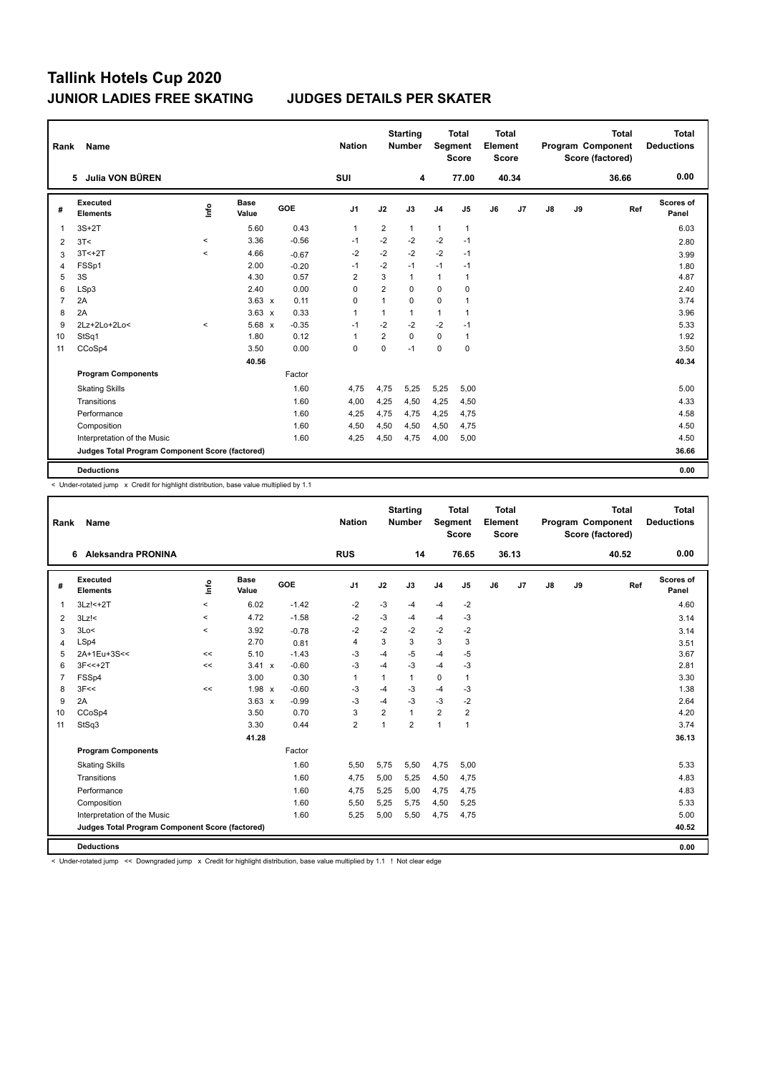| Rank           | Name                                            |         |                      |         | <b>Nation</b>  |                | <b>Starting</b><br><b>Number</b> | Segment        | <b>Total</b><br><b>Score</b> | <b>Total</b><br>Element<br>Score |       |               |    | <b>Total</b><br>Program Component<br>Score (factored) | Total<br><b>Deductions</b> |
|----------------|-------------------------------------------------|---------|----------------------|---------|----------------|----------------|----------------------------------|----------------|------------------------------|----------------------------------|-------|---------------|----|-------------------------------------------------------|----------------------------|
|                | 5 Julia VON BÜREN                               |         |                      |         | SUI            |                | 4                                |                | 77.00                        |                                  | 40.34 |               |    | 36.66                                                 | 0.00                       |
| #              | <b>Executed</b><br><b>Elements</b>              | ١nf٥    | <b>Base</b><br>Value | GOE     | J <sub>1</sub> | J2             | J3                               | J <sub>4</sub> | J5                           | J6                               | J7    | $\mathsf{J}8$ | J9 | Ref                                                   | <b>Scores of</b><br>Panel  |
| 1              | $3S+2T$                                         |         | 5.60                 | 0.43    | $\mathbf{1}$   | $\overline{2}$ | 1                                | $\mathbf{1}$   | $\mathbf{1}$                 |                                  |       |               |    |                                                       | 6.03                       |
| 2              | 3T<                                             | $\,<$   | 3.36                 | $-0.56$ | $-1$           | $-2$           | $-2$                             | $-2$           | $-1$                         |                                  |       |               |    |                                                       | 2.80                       |
| 3              | $3T < +2T$                                      | $\prec$ | 4.66                 | $-0.67$ | -2             | $-2$           | $-2$                             | $-2$           | $-1$                         |                                  |       |               |    |                                                       | 3.99                       |
| 4              | FSSp1                                           |         | 2.00                 | $-0.20$ | $-1$           | $-2$           | $-1$                             | $-1$           | $-1$                         |                                  |       |               |    |                                                       | 1.80                       |
| 5              | 3S                                              |         | 4.30                 | 0.57    | $\overline{2}$ | 3              | $\mathbf{1}$                     | $\mathbf{1}$   | 1                            |                                  |       |               |    |                                                       | 4.87                       |
| 6              | LSp3                                            |         | 2.40                 | 0.00    | 0              | $\overline{2}$ | $\Omega$                         | 0              | 0                            |                                  |       |               |    |                                                       | 2.40                       |
| $\overline{7}$ | 2A                                              |         | $3.63 \times$        | 0.11    | 0              | 1              | $\mathbf 0$                      | 0              | 1                            |                                  |       |               |    |                                                       | 3.74                       |
| 8              | 2A                                              |         | $3.63 \times$        | 0.33    | $\overline{1}$ | 1              | $\mathbf{1}$                     | $\mathbf{1}$   | 1                            |                                  |       |               |    |                                                       | 3.96                       |
| 9              | 2Lz+2Lo+2Lo<                                    | $\prec$ | $5.68 \times$        | $-0.35$ | -1             | $-2$           | $-2$                             | $-2$           | $-1$                         |                                  |       |               |    |                                                       | 5.33                       |
| 10             | StSq1                                           |         | 1.80                 | 0.12    | 1              | $\overline{2}$ | $\Omega$                         | 0              | 1                            |                                  |       |               |    |                                                       | 1.92                       |
| 11             | CCoSp4                                          |         | 3.50                 | 0.00    | 0              | 0              | $-1$                             | 0              | 0                            |                                  |       |               |    |                                                       | 3.50                       |
|                |                                                 |         | 40.56                |         |                |                |                                  |                |                              |                                  |       |               |    |                                                       | 40.34                      |
|                | <b>Program Components</b>                       |         |                      | Factor  |                |                |                                  |                |                              |                                  |       |               |    |                                                       |                            |
|                | <b>Skating Skills</b>                           |         |                      | 1.60    | 4,75           | 4,75           | 5,25                             | 5,25           | 5,00                         |                                  |       |               |    |                                                       | 5.00                       |
|                | Transitions                                     |         |                      | 1.60    | 4,00           | 4,25           | 4,50                             | 4,25           | 4,50                         |                                  |       |               |    |                                                       | 4.33                       |
|                | Performance                                     |         |                      | 1.60    | 4,25           | 4,75           | 4,75                             | 4,25           | 4,75                         |                                  |       |               |    |                                                       | 4.58                       |
|                | Composition                                     |         |                      | 1.60    | 4,50           | 4,50           | 4,50                             | 4,50           | 4,75                         |                                  |       |               |    |                                                       | 4.50                       |
|                | Interpretation of the Music                     |         |                      | 1.60    | 4,25           | 4,50           | 4,75                             | 4,00           | 5,00                         |                                  |       |               |    |                                                       | 4.50                       |
|                | Judges Total Program Component Score (factored) |         |                      |         |                |                |                                  |                |                              |                                  |       |               |    |                                                       | 36.66                      |
|                | <b>Deductions</b>                               |         |                      |         |                |                |                                  |                |                              |                                  |       |               |    |                                                       | 0.00                       |

< Under-rotated jump x Credit for highlight distribution, base value multiplied by 1.1

| Rank           | <b>Name</b>                                     |          |                      |            | <b>Nation</b>  |                | <b>Starting</b><br><b>Number</b> | Segment        | <b>Total</b><br><b>Score</b> | <b>Total</b><br>Element<br><b>Score</b> |       |               |    | <b>Total</b><br>Program Component<br>Score (factored) | <b>Total</b><br><b>Deductions</b> |
|----------------|-------------------------------------------------|----------|----------------------|------------|----------------|----------------|----------------------------------|----------------|------------------------------|-----------------------------------------|-------|---------------|----|-------------------------------------------------------|-----------------------------------|
|                | Aleksandra PRONINA<br>6.                        |          |                      |            | <b>RUS</b>     |                | 14                               |                | 76.65                        |                                         | 36.13 |               |    | 40.52                                                 | 0.00                              |
| #              | Executed<br><b>Elements</b>                     | lnfo     | <b>Base</b><br>Value | <b>GOE</b> | J1             | J2             | J3                               | J <sub>4</sub> | J5                           | J6                                      | J7    | $\mathsf{J}8$ | J9 | Ref                                                   | <b>Scores of</b><br>Panel         |
| $\mathbf{1}$   | 3Lz! <+ 2T                                      | $\hat{}$ | 6.02                 | $-1.42$    | $-2$           | $-3$           | $-4$                             | -4             | $-2$                         |                                         |       |               |    |                                                       | 4.60                              |
| 2              | $3Lz$ !<                                        | $\prec$  | 4.72                 | $-1.58$    | -2             | $-3$           | $-4$                             | $-4$           | $-3$                         |                                         |       |               |    |                                                       | 3.14                              |
| 3              | 3Lo<                                            | $\hat{}$ | 3.92                 | $-0.78$    | $-2$           | $-2$           | $-2$                             | $-2$           | $-2$                         |                                         |       |               |    |                                                       | 3.14                              |
| $\overline{4}$ | LSp4                                            |          | 2.70                 | 0.81       | 4              | 3              | 3                                | 3              | 3                            |                                         |       |               |    |                                                       | 3.51                              |
| 5              | 2A+1Eu+3S<<                                     | <<       | 5.10                 | $-1.43$    | $-3$           | $-4$           | $-5$                             | -4             | $-5$                         |                                         |       |               |    |                                                       | 3.67                              |
| 6              | $3F<<+2T$                                       | <<       | $3.41 \times$        | $-0.60$    | $-3$           | $-4$           | $-3$                             | $-4$           | $-3$                         |                                         |       |               |    |                                                       | 2.81                              |
| $\overline{7}$ | FSSp4                                           |          | 3.00                 | 0.30       | $\mathbf{1}$   | 1              | 1                                | $\mathbf 0$    | $\mathbf{1}$                 |                                         |       |               |    |                                                       | 3.30                              |
| 8              | 3F<<                                            | <<       | $1.98 \times$        | $-0.60$    | $-3$           | $-4$           | $-3$                             | $-4$           | $-3$                         |                                         |       |               |    |                                                       | 1.38                              |
| 9              | 2A                                              |          | $3.63 \times$        | $-0.99$    | $-3$           | $-4$           | $-3$                             | -3             | $-2$                         |                                         |       |               |    |                                                       | 2.64                              |
| 10             | CCoSp4                                          |          | 3.50                 | 0.70       | 3              | $\overline{2}$ | 1                                | $\overline{2}$ | $\overline{2}$               |                                         |       |               |    |                                                       | 4.20                              |
| 11             | StSq3                                           |          | 3.30                 | 0.44       | $\overline{2}$ | 1              | $\overline{2}$                   | $\mathbf{1}$   | 1                            |                                         |       |               |    |                                                       | 3.74                              |
|                |                                                 |          | 41.28                |            |                |                |                                  |                |                              |                                         |       |               |    |                                                       | 36.13                             |
|                | <b>Program Components</b>                       |          |                      | Factor     |                |                |                                  |                |                              |                                         |       |               |    |                                                       |                                   |
|                | <b>Skating Skills</b>                           |          |                      | 1.60       | 5,50           | 5,75           | 5,50                             | 4,75           | 5,00                         |                                         |       |               |    |                                                       | 5.33                              |
|                | Transitions                                     |          |                      | 1.60       | 4,75           | 5,00           | 5,25                             | 4,50           | 4,75                         |                                         |       |               |    |                                                       | 4.83                              |
|                | Performance                                     |          |                      | 1.60       | 4,75           | 5,25           | 5,00                             | 4,75           | 4,75                         |                                         |       |               |    |                                                       | 4.83                              |
|                | Composition                                     |          |                      | 1.60       | 5,50           | 5,25           | 5,75                             | 4,50           | 5,25                         |                                         |       |               |    |                                                       | 5.33                              |
|                | Interpretation of the Music                     |          |                      | 1.60       | 5,25           | 5,00           | 5,50                             | 4,75           | 4,75                         |                                         |       |               |    |                                                       | 5.00                              |
|                | Judges Total Program Component Score (factored) |          |                      |            |                |                |                                  |                |                              |                                         |       |               |    |                                                       | 40.52                             |
|                | <b>Deductions</b>                               |          |                      |            |                |                |                                  |                |                              |                                         |       |               |    |                                                       | 0.00                              |

< Under-rotated jump << Downgraded jump x Credit for highlight distribution, base value multiplied by 1.1 ! Not clear edge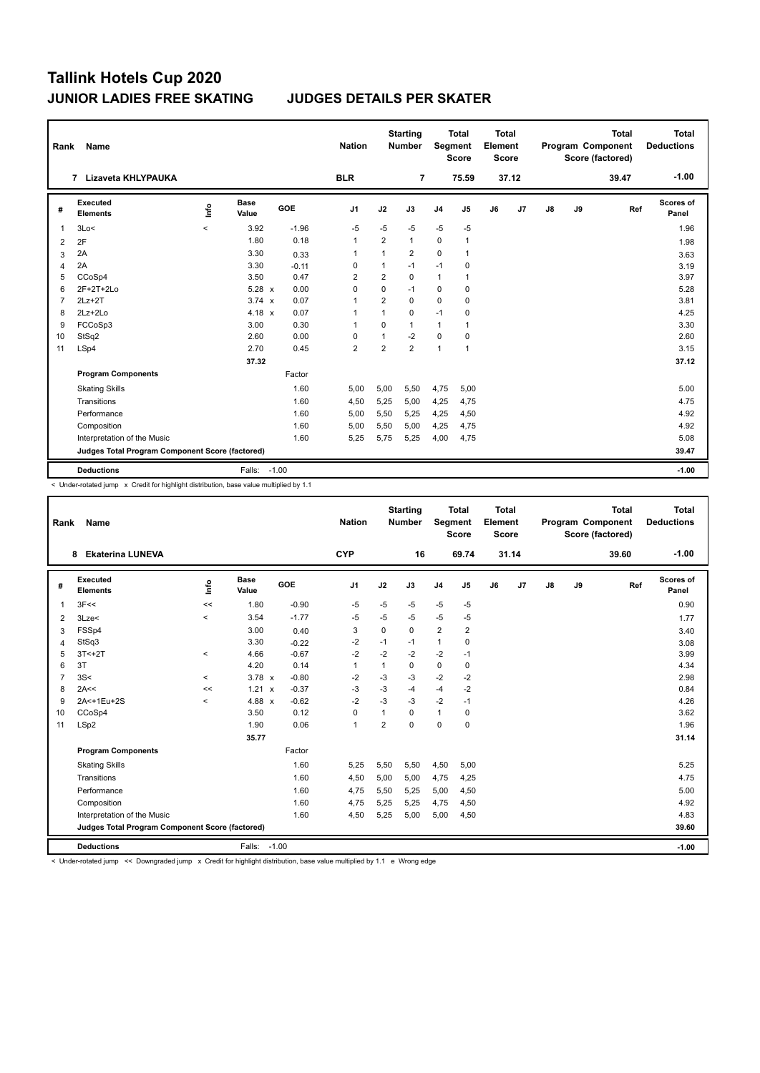| Rank           | Name                                            |         |                      |         | <b>Nation</b>  |                | <b>Starting</b><br><b>Number</b> | Segment        | Total<br><b>Score</b> | Total<br>Element<br><b>Score</b> |       |    |    | <b>Total</b><br>Program Component<br>Score (factored) | Total<br><b>Deductions</b> |
|----------------|-------------------------------------------------|---------|----------------------|---------|----------------|----------------|----------------------------------|----------------|-----------------------|----------------------------------|-------|----|----|-------------------------------------------------------|----------------------------|
|                | 7 Lizaveta KHLYPAUKA                            |         |                      |         | <b>BLR</b>     |                | $\overline{7}$                   |                | 75.59                 |                                  | 37.12 |    |    | 39.47                                                 | $-1.00$                    |
| #              | <b>Executed</b><br><b>Elements</b>              | ١nf٥    | <b>Base</b><br>Value | GOE     | J <sub>1</sub> | J2             | J3                               | J <sub>4</sub> | J5                    | J6                               | J7    | J8 | J9 | Ref                                                   | <b>Scores of</b><br>Panel  |
| 1              | 3Lo<                                            | $\prec$ | 3.92                 | $-1.96$ | $-5$           | $-5$           | $-5$                             | $-5$           | $-5$                  |                                  |       |    |    |                                                       | 1.96                       |
| 2              | 2F                                              |         | 1.80                 | 0.18    | 1              | 2              | $\mathbf{1}$                     | $\mathbf 0$    | $\mathbf{1}$          |                                  |       |    |    |                                                       | 1.98                       |
| 3              | 2A                                              |         | 3.30                 | 0.33    | $\overline{1}$ | 1              | $\overline{2}$                   | 0              | 1                     |                                  |       |    |    |                                                       | 3.63                       |
| 4              | 2A                                              |         | 3.30                 | $-0.11$ | 0              | 1              | $-1$                             | $-1$           | 0                     |                                  |       |    |    |                                                       | 3.19                       |
| 5              | CCoSp4                                          |         | 3.50                 | 0.47    | $\overline{2}$ | $\overline{2}$ | 0                                | $\mathbf{1}$   | 1                     |                                  |       |    |    |                                                       | 3.97                       |
| 6              | $2F+2T+2Lo$                                     |         | $5.28 \times$        | 0.00    | $\Omega$       | $\Omega$       | $-1$                             | $\Omega$       | 0                     |                                  |       |    |    |                                                       | 5.28                       |
| $\overline{7}$ | $2Lz+2T$                                        |         | $3.74 \times$        | 0.07    | $\overline{1}$ | $\overline{2}$ | $\mathbf 0$                      | 0              | 0                     |                                  |       |    |    |                                                       | 3.81                       |
| 8              | $2Lz+2Lo$                                       |         | $4.18 \times$        | 0.07    | 1              | 1              | 0                                | $-1$           | 0                     |                                  |       |    |    |                                                       | 4.25                       |
| 9              | FCCoSp3                                         |         | 3.00                 | 0.30    | $\overline{1}$ | $\Omega$       | $\mathbf{1}$                     | 1              | 1                     |                                  |       |    |    |                                                       | 3.30                       |
| 10             | StSq2                                           |         | 2.60                 | 0.00    | 0              | $\mathbf{1}$   | $-2$                             | $\Omega$       | 0                     |                                  |       |    |    |                                                       | 2.60                       |
| 11             | LSp4                                            |         | 2.70                 | 0.45    | $\overline{2}$ | $\overline{2}$ | $\overline{2}$                   | 1              | $\mathbf{1}$          |                                  |       |    |    |                                                       | 3.15                       |
|                |                                                 |         | 37.32                |         |                |                |                                  |                |                       |                                  |       |    |    |                                                       | 37.12                      |
|                | <b>Program Components</b>                       |         |                      | Factor  |                |                |                                  |                |                       |                                  |       |    |    |                                                       |                            |
|                | <b>Skating Skills</b>                           |         |                      | 1.60    | 5,00           | 5,00           | 5,50                             | 4,75           | 5,00                  |                                  |       |    |    |                                                       | 5.00                       |
|                | Transitions                                     |         |                      | 1.60    | 4,50           | 5,25           | 5.00                             | 4,25           | 4,75                  |                                  |       |    |    |                                                       | 4.75                       |
|                | Performance                                     |         |                      | 1.60    | 5,00           | 5,50           | 5,25                             | 4,25           | 4,50                  |                                  |       |    |    |                                                       | 4.92                       |
|                | Composition                                     |         |                      | 1.60    | 5.00           | 5,50           | 5.00                             | 4,25           | 4,75                  |                                  |       |    |    |                                                       | 4.92                       |
|                | Interpretation of the Music                     |         |                      | 1.60    | 5,25           | 5,75           | 5,25                             | 4,00           | 4,75                  |                                  |       |    |    |                                                       | 5.08                       |
|                | Judges Total Program Component Score (factored) |         |                      |         |                |                |                                  |                |                       |                                  |       |    |    |                                                       | 39.47                      |
|                | <b>Deductions</b>                               |         | Falls: -1.00         |         |                |                |                                  |                |                       |                                  |       |    |    |                                                       | $-1.00$                    |

< Under-rotated jump x Credit for highlight distribution, base value multiplied by 1.1

| Rank           | Name                                            |                                  |                      |         | <b>Nation</b>  |                | <b>Starting</b><br><b>Number</b> | Segment        | <b>Total</b><br><b>Score</b> | <b>Total</b><br>Element<br><b>Score</b> |       |               |    | <b>Total</b><br>Program Component<br>Score (factored) | <b>Total</b><br><b>Deductions</b> |
|----------------|-------------------------------------------------|----------------------------------|----------------------|---------|----------------|----------------|----------------------------------|----------------|------------------------------|-----------------------------------------|-------|---------------|----|-------------------------------------------------------|-----------------------------------|
|                | <b>Ekaterina LUNEVA</b><br>8                    |                                  |                      |         | <b>CYP</b>     |                | 16                               |                | 69.74                        |                                         | 31.14 |               |    | 39.60                                                 | $-1.00$                           |
| #              | Executed<br><b>Elements</b>                     | $\mathop{\mathsf{Int}}\nolimits$ | <b>Base</b><br>Value | GOE     | J <sub>1</sub> | J2             | J3                               | J <sub>4</sub> | J5                           | J6                                      | J7    | $\mathsf{J}8$ | J9 | Ref                                                   | <b>Scores of</b><br>Panel         |
| 1              | 3F<<                                            | $\,<$                            | 1.80                 | $-0.90$ | -5             | $-5$           | $-5$                             | $-5$           | $-5$                         |                                         |       |               |    |                                                       | 0.90                              |
| 2              | 3Lze<                                           | $\prec$                          | 3.54                 | $-1.77$ | $-5$           | $-5$           | $-5$                             | $-5$           | $-5$                         |                                         |       |               |    |                                                       | 1.77                              |
| 3              | FSSp4                                           |                                  | 3.00                 | 0.40    | 3              | $\mathbf 0$    | 0                                | $\overline{2}$ | 2                            |                                         |       |               |    |                                                       | 3.40                              |
| $\overline{4}$ | StSq3                                           |                                  | 3.30                 | $-0.22$ | $-2$           | $-1$           | $-1$                             | $\mathbf{1}$   | 0                            |                                         |       |               |    |                                                       | 3.08                              |
| 5              | $3T < +2T$                                      | $\prec$                          | 4.66                 | $-0.67$ | $-2$           | $-2$           | $-2$                             | $-2$           | $-1$                         |                                         |       |               |    |                                                       | 3.99                              |
| 6              | 3T                                              |                                  | 4.20                 | 0.14    | 1              | $\mathbf{1}$   | 0                                | 0              | 0                            |                                         |       |               |    |                                                       | 4.34                              |
| $\overline{7}$ | 3S<                                             | $\prec$                          | $3.78 \times$        | $-0.80$ | $-2$           | $-3$           | $-3$                             | $-2$           | $-2$                         |                                         |       |               |    |                                                       | 2.98                              |
| 8              | 2A<<                                            | <<                               | $1.21 \times$        | $-0.37$ | $-3$           | $-3$           | $-4$                             | $-4$           | $-2$                         |                                         |       |               |    |                                                       | 0.84                              |
| 9              | 2A<+1Eu+2S                                      | $\hat{}$                         | 4.88 $x$             | $-0.62$ | $-2$           | $-3$           | $-3$                             | $-2$           | $-1$                         |                                         |       |               |    |                                                       | 4.26                              |
| 10             | CCoSp4                                          |                                  | 3.50                 | 0.12    | 0              | $\mathbf{1}$   | 0                                | $\mathbf{1}$   | 0                            |                                         |       |               |    |                                                       | 3.62                              |
| 11             | LSp2                                            |                                  | 1.90                 | 0.06    | $\mathbf{1}$   | $\overline{2}$ | $\Omega$                         | $\Omega$       | $\Omega$                     |                                         |       |               |    |                                                       | 1.96                              |
|                |                                                 |                                  | 35.77                |         |                |                |                                  |                |                              |                                         |       |               |    |                                                       | 31.14                             |
|                | <b>Program Components</b>                       |                                  |                      | Factor  |                |                |                                  |                |                              |                                         |       |               |    |                                                       |                                   |
|                | <b>Skating Skills</b>                           |                                  |                      | 1.60    | 5,25           | 5,50           | 5,50                             | 4,50           | 5,00                         |                                         |       |               |    |                                                       | 5.25                              |
|                | Transitions                                     |                                  |                      | 1.60    | 4,50           | 5,00           | 5,00                             | 4,75           | 4,25                         |                                         |       |               |    |                                                       | 4.75                              |
|                | Performance                                     |                                  |                      | 1.60    | 4,75           | 5,50           | 5,25                             | 5,00           | 4,50                         |                                         |       |               |    |                                                       | 5.00                              |
|                | Composition                                     |                                  |                      | 1.60    | 4,75           | 5,25           | 5,25                             | 4,75           | 4,50                         |                                         |       |               |    |                                                       | 4.92                              |
|                | Interpretation of the Music                     |                                  |                      | 1.60    | 4,50           | 5,25           | 5,00                             | 5,00           | 4,50                         |                                         |       |               |    |                                                       | 4.83                              |
|                | Judges Total Program Component Score (factored) |                                  |                      |         |                |                |                                  |                |                              |                                         |       |               |    |                                                       | 39.60                             |
|                | <b>Deductions</b>                               |                                  | Falls:               | $-1.00$ |                |                |                                  |                |                              |                                         |       |               |    |                                                       | $-1.00$                           |

< Under-rotated jump << Downgraded jump x Credit for highlight distribution, base value multiplied by 1.1 e Wrong edge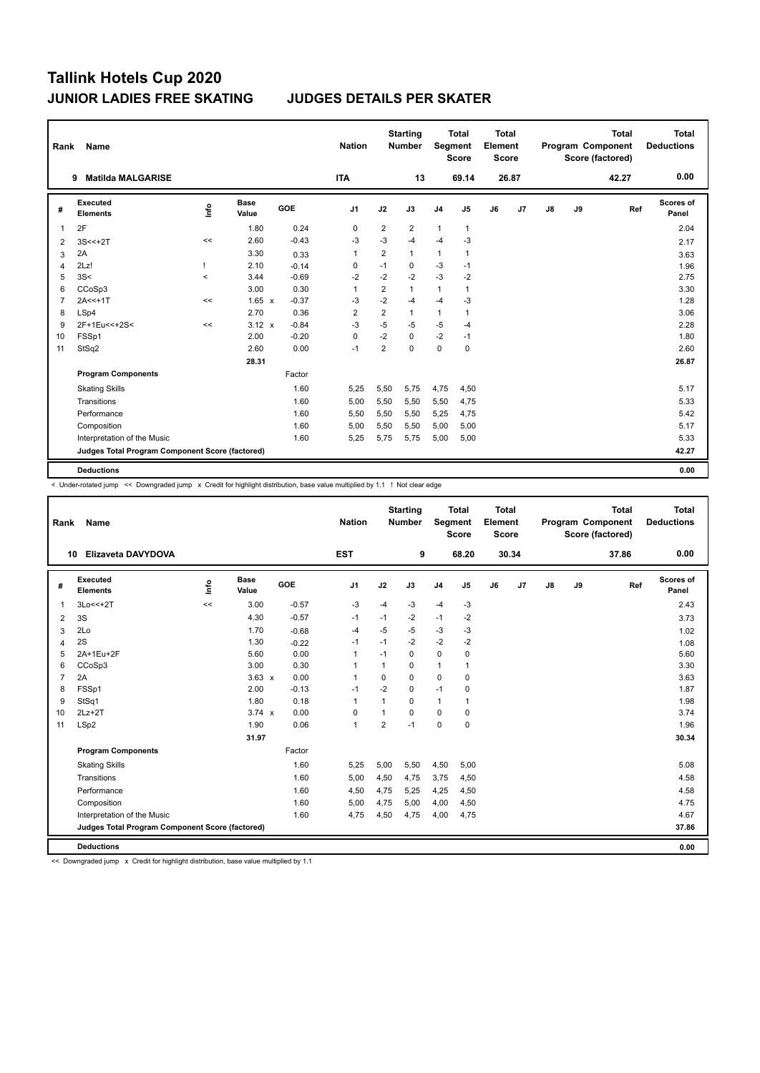| Rank           | <b>Name</b>                                     |                                  |                      |         | <b>Nation</b>  |                | <b>Starting</b><br><b>Number</b> | Segment        | <b>Total</b><br><b>Score</b> | <b>Total</b><br>Element<br>Score |                |               |    | <b>Total</b><br>Program Component<br>Score (factored) | <b>Total</b><br><b>Deductions</b> |
|----------------|-------------------------------------------------|----------------------------------|----------------------|---------|----------------|----------------|----------------------------------|----------------|------------------------------|----------------------------------|----------------|---------------|----|-------------------------------------------------------|-----------------------------------|
|                | <b>Matilda MALGARISE</b><br>9                   |                                  |                      |         | <b>ITA</b>     |                | 13                               |                | 69.14                        |                                  | 26.87          |               |    | 42.27                                                 | 0.00                              |
| #              | Executed<br><b>Elements</b>                     | $\mathop{\mathsf{Irr}}\nolimits$ | <b>Base</b><br>Value | GOE     | J <sub>1</sub> | J2             | J3                               | J <sub>4</sub> | J <sub>5</sub>               | J6                               | J <sub>7</sub> | $\mathsf{J}8$ | J9 | Ref                                                   | Scores of<br>Panel                |
| $\mathbf{1}$   | 2F                                              |                                  | 1.80                 | 0.24    | 0              | $\overline{2}$ | $\overline{2}$                   | $\mathbf{1}$   | $\mathbf{1}$                 |                                  |                |               |    |                                                       | 2.04                              |
| 2              | $3S < +2T$                                      | <<                               | 2.60                 | $-0.43$ | -3             | $-3$           | $-4$                             | $-4$           | -3                           |                                  |                |               |    |                                                       | 2.17                              |
| 3              | 2A                                              |                                  | 3.30                 | 0.33    | $\mathbf{1}$   | $\overline{2}$ | 1                                | $\mathbf{1}$   | $\mathbf{1}$                 |                                  |                |               |    |                                                       | 3.63                              |
| $\overline{4}$ | 2Lz!                                            | ı                                | 2.10                 | $-0.14$ | 0              | $-1$           | 0                                | $-3$           | $-1$                         |                                  |                |               |    |                                                       | 1.96                              |
| 5              | 3S<                                             | $\prec$                          | 3.44                 | $-0.69$ | $-2$           | $-2$           | $-2$                             | $-3$           | $-2$                         |                                  |                |               |    |                                                       | 2.75                              |
| 6              | CCoSp3                                          |                                  | 3.00                 | 0.30    | 1              | $\overline{2}$ | 1                                | $\mathbf{1}$   | $\mathbf{1}$                 |                                  |                |               |    |                                                       | 3.30                              |
| $\overline{7}$ | $2A < +1T$                                      | <<                               | $1.65 \times$        | $-0.37$ | -3             | $-2$           | $-4$                             | $-4$           | -3                           |                                  |                |               |    |                                                       | 1.28                              |
| 8              | LSp4                                            |                                  | 2.70                 | 0.36    | $\overline{2}$ | $\overline{2}$ | $\mathbf{1}$                     | $\mathbf{1}$   | $\mathbf{1}$                 |                                  |                |               |    |                                                       | 3.06                              |
| 9              | 2F+1Eu<<+2S<                                    | <<                               | $3.12 \times$        | $-0.84$ | -3             | $-5$           | $-5$                             | $-5$           | $-4$                         |                                  |                |               |    |                                                       | 2.28                              |
| 10             | FSSp1                                           |                                  | 2.00                 | $-0.20$ | 0              | $-2$           | 0                                | $-2$           | $-1$                         |                                  |                |               |    |                                                       | 1.80                              |
| 11             | StSq2                                           |                                  | 2.60                 | 0.00    | $-1$           | $\overline{2}$ | $\Omega$                         | $\mathbf 0$    | $\mathbf 0$                  |                                  |                |               |    |                                                       | 2.60                              |
|                |                                                 |                                  | 28.31                |         |                |                |                                  |                |                              |                                  |                |               |    |                                                       | 26.87                             |
|                | <b>Program Components</b>                       |                                  |                      | Factor  |                |                |                                  |                |                              |                                  |                |               |    |                                                       |                                   |
|                | <b>Skating Skills</b>                           |                                  |                      | 1.60    | 5,25           | 5,50           | 5,75                             | 4,75           | 4,50                         |                                  |                |               |    |                                                       | 5.17                              |
|                | Transitions                                     |                                  |                      | 1.60    | 5,00           | 5,50           | 5,50                             | 5,50           | 4,75                         |                                  |                |               |    |                                                       | 5.33                              |
|                | Performance                                     |                                  |                      | 1.60    | 5,50           | 5,50           | 5,50                             | 5,25           | 4,75                         |                                  |                |               |    |                                                       | 5.42                              |
|                | Composition                                     |                                  |                      | 1.60    | 5,00           | 5,50           | 5,50                             | 5,00           | 5,00                         |                                  |                |               |    |                                                       | 5.17                              |
|                | Interpretation of the Music                     |                                  |                      | 1.60    | 5,25           | 5,75           | 5,75                             | 5,00           | 5,00                         |                                  |                |               |    |                                                       | 5.33                              |
|                | Judges Total Program Component Score (factored) |                                  |                      |         |                |                |                                  |                |                              |                                  |                |               |    |                                                       | 42.27                             |
|                | <b>Deductions</b>                               |                                  |                      |         |                |                |                                  |                |                              |                                  |                |               |    |                                                       | 0.00                              |

< Under-rotated jump << Downgraded jump x Credit for highlight distribution, base value multiplied by 1.1 ! Not clear edge

| Rank           | Name                                            |      |                      |            | <b>Nation</b>  |                | <b>Starting</b><br><b>Number</b> | Segment        | <b>Total</b><br><b>Score</b> | <b>Total</b><br>Element<br><b>Score</b> |       |    |    | <b>Total</b><br>Program Component<br>Score (factored) | <b>Total</b><br><b>Deductions</b> |
|----------------|-------------------------------------------------|------|----------------------|------------|----------------|----------------|----------------------------------|----------------|------------------------------|-----------------------------------------|-------|----|----|-------------------------------------------------------|-----------------------------------|
|                | Elizaveta DAVYDOVA<br>10                        |      |                      |            | <b>EST</b>     |                | 9                                |                | 68.20                        |                                         | 30.34 |    |    | 37.86                                                 | 0.00                              |
| #              | <b>Executed</b><br><b>Elements</b>              | lnfo | <b>Base</b><br>Value | <b>GOE</b> | J <sub>1</sub> | J2             | J3                               | J <sub>4</sub> | J5                           | J6                                      | J7    | J8 | J9 | Ref                                                   | Scores of<br>Panel                |
| 1              | 3Lo<<+2T                                        | <<   | 3.00                 | $-0.57$    | $-3$           | $-4$           | $-3$                             | $-4$           | $-3$                         |                                         |       |    |    |                                                       | 2.43                              |
| 2              | 3S                                              |      | 4.30                 | $-0.57$    | $-1$           | $-1$           | $-2$                             | $-1$           | $-2$                         |                                         |       |    |    |                                                       | 3.73                              |
| 3              | 2Lo                                             |      | 1.70                 | $-0.68$    | $-4$           | $-5$           | $-5$                             | $-3$           | $-3$                         |                                         |       |    |    |                                                       | 1.02                              |
| 4              | 2S                                              |      | 1.30                 | $-0.22$    | $-1$           | $-1$           | $-2$                             | $-2$           | $-2$                         |                                         |       |    |    |                                                       | 1.08                              |
| 5              | 2A+1Eu+2F                                       |      | 5.60                 | 0.00       | $\mathbf{1}$   | $-1$           | $\Omega$                         | 0              | $\mathbf 0$                  |                                         |       |    |    |                                                       | 5.60                              |
| 6              | CCoSp3                                          |      | 3.00                 | 0.30       | $\overline{1}$ | $\mathbf{1}$   | 0                                | 1              | $\mathbf{1}$                 |                                         |       |    |    |                                                       | 3.30                              |
| $\overline{7}$ | 2A                                              |      | $3.63 \times$        | 0.00       | $\mathbf 1$    | $\mathbf 0$    | $\Omega$                         | 0              | $\pmb{0}$                    |                                         |       |    |    |                                                       | 3.63                              |
| 8              | FSSp1                                           |      | 2.00                 | $-0.13$    | $-1$           | $-2$           | $\Omega$                         | $-1$           | $\mathbf 0$                  |                                         |       |    |    |                                                       | 1.87                              |
| 9              | StSq1                                           |      | 1.80                 | 0.18       | $\mathbf 1$    | 1              | $\Omega$                         | 1              | $\mathbf{1}$                 |                                         |       |    |    |                                                       | 1.98                              |
| 10             | $2Lz+2T$                                        |      | $3.74 \times$        | 0.00       | 0              | $\mathbf{1}$   | $\Omega$                         | 0              | $\pmb{0}$                    |                                         |       |    |    |                                                       | 3.74                              |
| 11             | LSp2                                            |      | 1.90                 | 0.06       | $\overline{1}$ | $\overline{2}$ | $-1$                             | 0              | $\mathbf 0$                  |                                         |       |    |    |                                                       | 1.96                              |
|                |                                                 |      | 31.97                |            |                |                |                                  |                |                              |                                         |       |    |    |                                                       | 30.34                             |
|                | <b>Program Components</b>                       |      |                      | Factor     |                |                |                                  |                |                              |                                         |       |    |    |                                                       |                                   |
|                | <b>Skating Skills</b>                           |      |                      | 1.60       | 5,25           | 5,00           | 5,50                             | 4,50           | 5,00                         |                                         |       |    |    |                                                       | 5.08                              |
|                | Transitions                                     |      |                      | 1.60       | 5.00           | 4,50           | 4.75                             | 3,75           | 4,50                         |                                         |       |    |    |                                                       | 4.58                              |
|                | Performance                                     |      |                      | 1.60       | 4,50           | 4,75           | 5,25                             | 4,25           | 4,50                         |                                         |       |    |    |                                                       | 4.58                              |
|                | Composition                                     |      |                      | 1.60       | 5,00           | 4,75           | 5,00                             | 4,00           | 4,50                         |                                         |       |    |    |                                                       | 4.75                              |
|                | Interpretation of the Music                     |      |                      | 1.60       | 4,75           | 4,50           | 4,75                             | 4,00           | 4,75                         |                                         |       |    |    |                                                       | 4.67                              |
|                | Judges Total Program Component Score (factored) |      |                      |            |                |                |                                  |                |                              |                                         |       |    |    |                                                       | 37.86                             |
|                | <b>Deductions</b>                               |      |                      |            |                |                |                                  |                |                              |                                         |       |    |    |                                                       | 0.00                              |

<< Downgraded jump x Credit for highlight distribution, base value multiplied by 1.1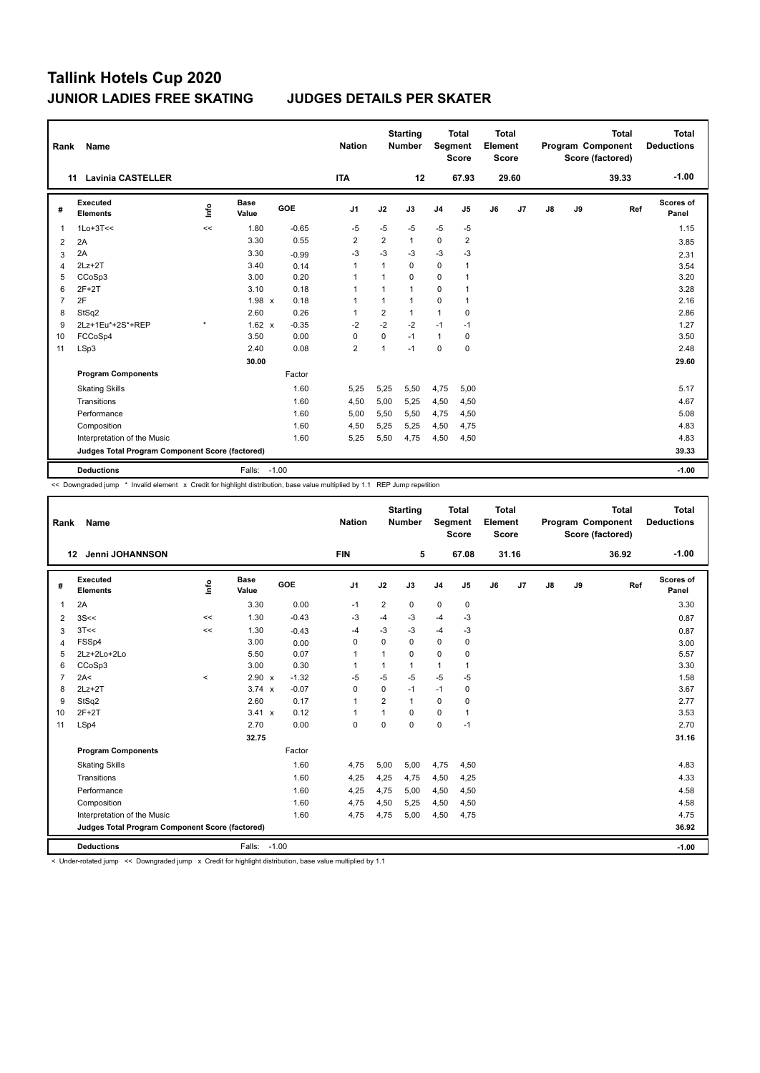| Rank           | <b>Name</b>                                     |         |                      |         | <b>Nation</b>  |                | <b>Starting</b><br>Number | <b>Segment</b> | <b>Total</b><br><b>Score</b> | Total<br>Element<br><b>Score</b> |                |    |    | <b>Total</b><br>Program Component<br>Score (factored) | Total<br><b>Deductions</b> |
|----------------|-------------------------------------------------|---------|----------------------|---------|----------------|----------------|---------------------------|----------------|------------------------------|----------------------------------|----------------|----|----|-------------------------------------------------------|----------------------------|
|                | <b>Lavinia CASTELLER</b><br>11                  |         |                      |         | <b>ITA</b>     |                | 12                        |                | 67.93                        |                                  | 29.60          |    |    | 39.33                                                 | $-1.00$                    |
| #              | Executed<br><b>Elements</b>                     | ١nf٥    | <b>Base</b><br>Value | GOE     | J <sub>1</sub> | J2             | J3                        | J <sub>4</sub> | J <sub>5</sub>               | J6                               | J <sub>7</sub> | J8 | J9 | Ref                                                   | <b>Scores of</b><br>Panel  |
| $\mathbf{1}$   | $1Lo+3T<<$                                      | <<      | 1.80                 | $-0.65$ | $-5$           | $-5$           | $-5$                      | $-5$           | $-5$                         |                                  |                |    |    |                                                       | 1.15                       |
| 2              | 2A                                              |         | 3.30                 | 0.55    | $\overline{2}$ | $\overline{2}$ | 1                         | $\mathbf 0$    | $\overline{\mathbf{c}}$      |                                  |                |    |    |                                                       | 3.85                       |
| 3              | 2A                                              |         | 3.30                 | $-0.99$ | $-3$           | $-3$           | -3                        | $-3$           | $-3$                         |                                  |                |    |    |                                                       | 2.31                       |
| 4              | $2Lz+2T$                                        |         | 3.40                 | 0.14    | $\mathbf{1}$   | $\mathbf{1}$   | 0                         | $\Omega$       | $\mathbf{1}$                 |                                  |                |    |    |                                                       | 3.54                       |
| 5              | CCoSp3                                          |         | 3.00                 | 0.20    | -1             | 1              | 0                         | 0              | $\mathbf{1}$                 |                                  |                |    |    |                                                       | 3.20                       |
| 6              | $2F+2T$                                         |         | 3.10                 | 0.18    | $\mathbf{1}$   | 1              | 1                         | 0              | $\mathbf{1}$                 |                                  |                |    |    |                                                       | 3.28                       |
| $\overline{7}$ | 2F                                              |         | 1.98 x               | 0.18    | $\mathbf{1}$   | 1              | 1                         | 0              | $\mathbf{1}$                 |                                  |                |    |    |                                                       | 2.16                       |
| 8              | StSq2                                           |         | 2.60                 | 0.26    | 1              | $\overline{2}$ | 1                         | $\mathbf{1}$   | 0                            |                                  |                |    |    |                                                       | 2.86                       |
| 9              | 2Lz+1Eu*+2S*+REP                                | $\star$ | $1.62 \times$        | $-0.35$ | $-2$           | $-2$           | $-2$                      | $-1$           | $-1$                         |                                  |                |    |    |                                                       | 1.27                       |
| 10             | FCCoSp4                                         |         | 3.50                 | 0.00    | 0              | 0              | $-1$                      | $\mathbf{1}$   | 0                            |                                  |                |    |    |                                                       | 3.50                       |
| 11             | LSp3                                            |         | 2.40                 | 0.08    | $\overline{2}$ | $\mathbf{1}$   | $-1$                      | 0              | $\mathbf 0$                  |                                  |                |    |    |                                                       | 2.48                       |
|                |                                                 |         | 30.00                |         |                |                |                           |                |                              |                                  |                |    |    |                                                       | 29.60                      |
|                | <b>Program Components</b>                       |         |                      | Factor  |                |                |                           |                |                              |                                  |                |    |    |                                                       |                            |
|                | <b>Skating Skills</b>                           |         |                      | 1.60    | 5,25           | 5,25           | 5,50                      | 4,75           | 5,00                         |                                  |                |    |    |                                                       | 5.17                       |
|                | Transitions                                     |         |                      | 1.60    | 4,50           | 5,00           | 5,25                      | 4,50           | 4,50                         |                                  |                |    |    |                                                       | 4.67                       |
|                | Performance                                     |         |                      | 1.60    | 5,00           | 5,50           | 5,50                      | 4,75           | 4,50                         |                                  |                |    |    |                                                       | 5.08                       |
|                | Composition                                     |         |                      | 1.60    | 4,50           | 5,25           | 5,25                      | 4,50           | 4,75                         |                                  |                |    |    |                                                       | 4.83                       |
|                | Interpretation of the Music                     |         |                      | 1.60    | 5,25           | 5,50           | 4,75                      | 4,50           | 4,50                         |                                  |                |    |    |                                                       | 4.83                       |
|                | Judges Total Program Component Score (factored) |         |                      |         |                |                |                           |                |                              |                                  |                |    |    |                                                       | 39.33                      |
|                | <b>Deductions</b>                               |         | Falls:               | $-1.00$ |                |                |                           |                |                              |                                  |                |    |    |                                                       | $-1.00$                    |

<< Downgraded jump \* Invalid element x Credit for highlight distribution, base value multiplied by 1.1 REP Jump repetition

| Rank           | Name                                            |         |                      |            | <b>Nation</b>  |                | <b>Starting</b><br><b>Number</b> | Segment        | <b>Total</b><br><b>Score</b> | Total<br>Element<br><b>Score</b> |       |    |    | <b>Total</b><br>Program Component<br>Score (factored) | Total<br><b>Deductions</b> |
|----------------|-------------------------------------------------|---------|----------------------|------------|----------------|----------------|----------------------------------|----------------|------------------------------|----------------------------------|-------|----|----|-------------------------------------------------------|----------------------------|
|                | Jenni JOHANNSON<br>12                           |         |                      |            | <b>FIN</b>     |                | 5                                |                | 67.08                        |                                  | 31.16 |    |    | 36.92                                                 | $-1.00$                    |
| #              | Executed<br><b>Elements</b>                     | Linfo   | <b>Base</b><br>Value | <b>GOE</b> | J1             | J2             | J3                               | J <sub>4</sub> | J5                           | J6                               | J7    | J8 | J9 | Ref                                                   | Scores of<br>Panel         |
| 1              | 2A                                              |         | 3.30                 | 0.00       | $-1$           | $\overline{2}$ | $\mathbf 0$                      | $\mathbf 0$    | 0                            |                                  |       |    |    |                                                       | 3.30                       |
| 2              | 3S<<                                            | <<      | 1.30                 | $-0.43$    | -3             | $-4$           | -3                               | $-4$           | $-3$                         |                                  |       |    |    |                                                       | 0.87                       |
| 3              | 3T<<                                            | $\prec$ | 1.30                 | $-0.43$    | $-4$           | $-3$           | $-3$                             | $-4$           | $-3$                         |                                  |       |    |    |                                                       | 0.87                       |
| 4              | FSSp4                                           |         | 3.00                 | 0.00       | 0              | $\Omega$       | $\Omega$                         | $\mathbf 0$    | $\mathbf 0$                  |                                  |       |    |    |                                                       | 3.00                       |
| 5              | 2Lz+2Lo+2Lo                                     |         | 5.50                 | 0.07       | 1              | $\mathbf{1}$   | $\Omega$                         | $\Omega$       | 0                            |                                  |       |    |    |                                                       | 5.57                       |
| 6              | CCoSp3                                          |         | 3.00                 | 0.30       | $\overline{1}$ | 1              | $\mathbf{1}$                     | 1              | $\mathbf{1}$                 |                                  |       |    |    |                                                       | 3.30                       |
| $\overline{7}$ | 2A<                                             | $\prec$ | 2.90 x               | $-1.32$    | $-5$           | $-5$           | $-5$                             | $-5$           | -5                           |                                  |       |    |    |                                                       | 1.58                       |
| 8              | $2Lz+2T$                                        |         | $3.74 \times$        | $-0.07$    | 0              | 0              | $-1$                             | $-1$           | $\mathbf 0$                  |                                  |       |    |    |                                                       | 3.67                       |
| 9              | StSq2                                           |         | 2.60                 | 0.17       | $\mathbf{1}$   | $\overline{2}$ | 1                                | $\Omega$       | 0                            |                                  |       |    |    |                                                       | 2.77                       |
| 10             | $2F+2T$                                         |         | $3.41 \times$        | 0.12       | $\overline{1}$ | 1              | $\Omega$                         | $\mathbf 0$    | 1                            |                                  |       |    |    |                                                       | 3.53                       |
| 11             | LSp4                                            |         | 2.70                 | 0.00       | $\mathbf 0$    | $\Omega$       | $\Omega$                         | $\mathbf 0$    | $-1$                         |                                  |       |    |    |                                                       | 2.70                       |
|                |                                                 |         | 32.75                |            |                |                |                                  |                |                              |                                  |       |    |    |                                                       | 31.16                      |
|                | <b>Program Components</b>                       |         |                      | Factor     |                |                |                                  |                |                              |                                  |       |    |    |                                                       |                            |
|                | <b>Skating Skills</b>                           |         |                      | 1.60       | 4,75           | 5,00           | 5,00                             | 4,75           | 4,50                         |                                  |       |    |    |                                                       | 4.83                       |
|                | Transitions                                     |         |                      | 1.60       | 4,25           | 4,25           | 4,75                             | 4,50           | 4,25                         |                                  |       |    |    |                                                       | 4.33                       |
|                | Performance                                     |         |                      | 1.60       | 4,25           | 4,75           | 5,00                             | 4,50           | 4,50                         |                                  |       |    |    |                                                       | 4.58                       |
|                | Composition                                     |         |                      | 1.60       | 4,75           | 4,50           | 5,25                             | 4,50           | 4,50                         |                                  |       |    |    |                                                       | 4.58                       |
|                | Interpretation of the Music                     |         |                      | 1.60       | 4.75           | 4,75           | 5,00                             | 4,50           | 4,75                         |                                  |       |    |    |                                                       | 4.75                       |
|                | Judges Total Program Component Score (factored) |         |                      |            |                |                |                                  |                |                              |                                  |       |    |    |                                                       | 36.92                      |
|                | <b>Deductions</b>                               |         | Falls: -1.00         |            |                |                |                                  |                |                              |                                  |       |    |    |                                                       | $-1.00$                    |

< Under-rotated jump << Downgraded jump x Credit for highlight distribution, base value multiplied by 1.1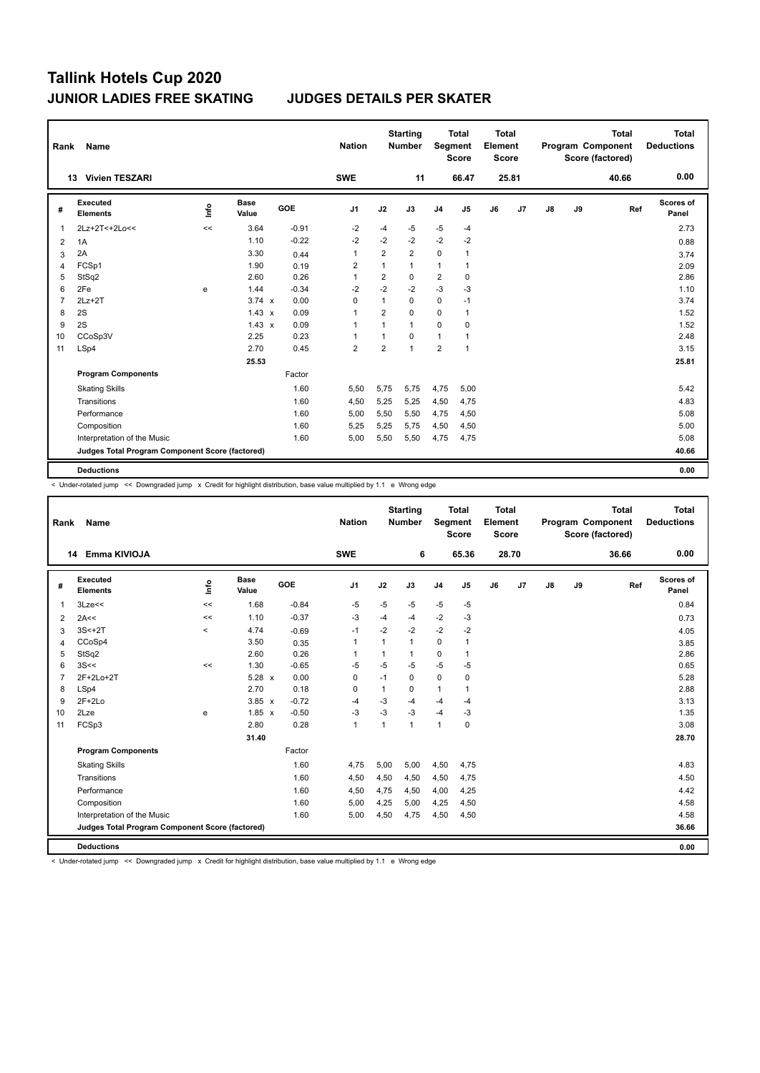| Rank           | Name                                            |      |                      |            | <b>Nation</b>  |                | <b>Starting</b><br><b>Number</b> | Segment        | Total<br><b>Score</b> | Total<br>Element<br><b>Score</b> |       |    |    | <b>Total</b><br>Program Component<br>Score (factored) | Total<br><b>Deductions</b> |
|----------------|-------------------------------------------------|------|----------------------|------------|----------------|----------------|----------------------------------|----------------|-----------------------|----------------------------------|-------|----|----|-------------------------------------------------------|----------------------------|
|                | <b>Vivien TESZARI</b><br>13                     |      |                      |            | <b>SWE</b>     |                | 11                               |                | 66.47                 |                                  | 25.81 |    |    | 40.66                                                 | 0.00                       |
| #              | Executed<br><b>Elements</b>                     | ١nf٥ | <b>Base</b><br>Value | <b>GOE</b> | J <sub>1</sub> | J2             | J3                               | J <sub>4</sub> | J <sub>5</sub>        | J6                               | J7    | J8 | J9 | Ref                                                   | Scores of<br>Panel         |
| $\mathbf{1}$   | 2Lz+2T<+2Lo<<                                   | <<   | 3.64                 | $-0.91$    | $-2$           | $-4$           | $-5$                             | $-5$           | $-4$                  |                                  |       |    |    |                                                       | 2.73                       |
| 2              | 1A                                              |      | 1.10                 | $-0.22$    | $-2$           | $-2$           | $-2$                             | $-2$           | $-2$                  |                                  |       |    |    |                                                       | 0.88                       |
| 3              | 2A                                              |      | 3.30                 | 0.44       | $\overline{1}$ | $\overline{2}$ | $\overline{2}$                   | $\mathbf 0$    | 1                     |                                  |       |    |    |                                                       | 3.74                       |
| 4              | FCSp1                                           |      | 1.90                 | 0.19       | $\overline{2}$ | $\mathbf{1}$   | 1                                | 1              | 1                     |                                  |       |    |    |                                                       | 2.09                       |
| 5              | StSq2                                           |      | 2.60                 | 0.26       | $\mathbf{1}$   | 2              | $\mathbf 0$                      | $\overline{2}$ | 0                     |                                  |       |    |    |                                                       | 2.86                       |
| 6              | 2Fe                                             | e    | 1.44                 | $-0.34$    | $-2$           | $-2$           | $-2$                             | $-3$           | $-3$                  |                                  |       |    |    |                                                       | 1.10                       |
| $\overline{7}$ | $2Lz+2T$                                        |      | $3.74 \times$        | 0.00       | 0              | 1              | $\mathbf 0$                      | $\mathbf 0$    | $-1$                  |                                  |       |    |    |                                                       | 3.74                       |
| 8              | 2S                                              |      | $1.43 \times$        | 0.09       | $\overline{1}$ | $\overline{2}$ | $\Omega$                         | $\Omega$       | $\mathbf{1}$          |                                  |       |    |    |                                                       | 1.52                       |
| 9              | 2S                                              |      | $1.43 \times$        | 0.09       | $\overline{1}$ | 1              | $\mathbf{1}$                     | $\mathbf 0$    | $\mathbf 0$           |                                  |       |    |    |                                                       | 1.52                       |
| 10             | CCoSp3V                                         |      | 2.25                 | 0.23       | 1              | 1              | $\Omega$                         | 1              | 1                     |                                  |       |    |    |                                                       | 2.48                       |
| 11             | LSp4                                            |      | 2.70                 | 0.45       | $\overline{2}$ | $\overline{2}$ | $\overline{1}$                   | $\overline{2}$ | $\mathbf{1}$          |                                  |       |    |    |                                                       | 3.15                       |
|                |                                                 |      | 25.53                |            |                |                |                                  |                |                       |                                  |       |    |    |                                                       | 25.81                      |
|                | <b>Program Components</b>                       |      |                      | Factor     |                |                |                                  |                |                       |                                  |       |    |    |                                                       |                            |
|                | <b>Skating Skills</b>                           |      |                      | 1.60       | 5.50           | 5,75           | 5,75                             | 4,75           | 5,00                  |                                  |       |    |    |                                                       | 5.42                       |
|                | Transitions                                     |      |                      | 1.60       | 4,50           | 5,25           | 5,25                             | 4,50           | 4,75                  |                                  |       |    |    |                                                       | 4.83                       |
|                | Performance                                     |      |                      | 1.60       | 5,00           | 5,50           | 5,50                             | 4,75           | 4,50                  |                                  |       |    |    |                                                       | 5.08                       |
|                | Composition                                     |      |                      | 1.60       | 5,25           | 5,25           | 5,75                             | 4,50           | 4,50                  |                                  |       |    |    |                                                       | 5.00                       |
|                | Interpretation of the Music                     |      |                      | 1.60       | 5,00           | 5,50           | 5,50                             | 4,75           | 4,75                  |                                  |       |    |    |                                                       | 5.08                       |
|                | Judges Total Program Component Score (factored) |      |                      |            |                |                |                                  |                |                       |                                  |       |    |    |                                                       | 40.66                      |
|                | <b>Deductions</b>                               |      |                      |            |                |                |                                  |                |                       |                                  |       |    |    |                                                       | 0.00                       |

< Under-rotated jump << Downgraded jump x Credit for highlight distribution, base value multiplied by 1.1 e Wrong edge

| Rank           | Name                                            |         |                      |         | <b>Nation</b>  |      | <b>Starting</b><br><b>Number</b> | <b>Segment</b> | <b>Total</b><br><b>Score</b> | <b>Total</b><br>Element<br>Score |                |               |    | <b>Total</b><br>Program Component<br>Score (factored) | <b>Total</b><br><b>Deductions</b> |
|----------------|-------------------------------------------------|---------|----------------------|---------|----------------|------|----------------------------------|----------------|------------------------------|----------------------------------|----------------|---------------|----|-------------------------------------------------------|-----------------------------------|
|                | Emma KIVIOJA<br>14                              |         |                      |         | <b>SWE</b>     |      | 6                                |                | 65.36                        |                                  | 28.70          |               |    | 36.66                                                 | 0.00                              |
| #              | Executed<br><b>Elements</b>                     | lnfo    | <b>Base</b><br>Value | GOE     | J <sub>1</sub> | J2   | J3                               | J <sub>4</sub> | J5                           | J6                               | J <sub>7</sub> | $\mathsf{J}8$ | J9 | Ref                                                   | Scores of<br>Panel                |
| 1              | 3Lze<<                                          | $\prec$ | 1.68                 | $-0.84$ | $-5$           | $-5$ | $-5$                             | $-5$           | $-5$                         |                                  |                |               |    |                                                       | 0.84                              |
| 2              | 2A<<                                            | <<      | 1.10                 | $-0.37$ | -3             | $-4$ | $-4$                             | $-2$           | -3                           |                                  |                |               |    |                                                       | 0.73                              |
| 3              | $3S<+2T$                                        | $\,<\,$ | 4.74                 | $-0.69$ | $-1$           | $-2$ | $-2$                             | $-2$           | $-2$                         |                                  |                |               |    |                                                       | 4.05                              |
| 4              | CCoSp4                                          |         | 3.50                 | 0.35    | $\overline{1}$ | 1    | $\mathbf{1}$                     | 0              | 1                            |                                  |                |               |    |                                                       | 3.85                              |
| 5              | StSq2                                           |         | 2.60                 | 0.26    | 1              | 1    | 1                                | 0              | 1                            |                                  |                |               |    |                                                       | 2.86                              |
| 6              | 3S<<                                            | $\prec$ | 1.30                 | $-0.65$ | $-5$           | $-5$ | $-5$                             | $-5$           | $-5$                         |                                  |                |               |    |                                                       | 0.65                              |
| $\overline{7}$ | 2F+2Lo+2T                                       |         | 5.28 x               | 0.00    | $\mathbf 0$    | $-1$ | $\mathbf 0$                      | $\mathbf 0$    | 0                            |                                  |                |               |    |                                                       | 5.28                              |
| 8              | LSp4                                            |         | 2.70                 | 0.18    | 0              | 1    | 0                                | 1              | 1                            |                                  |                |               |    |                                                       | 2.88                              |
| 9              | $2F+2Lo$                                        |         | $3.85 \times$        | $-0.72$ | $-4$           | $-3$ | $-4$                             | $-4$           | $-4$                         |                                  |                |               |    |                                                       | 3.13                              |
| 10             | 2Lze                                            | e       | $1.85 \times$        | $-0.50$ | $-3$           | $-3$ | $-3$                             | $-4$           | -3                           |                                  |                |               |    |                                                       | 1.35                              |
| 11             | FCSp3                                           |         | 2.80                 | 0.28    | $\overline{1}$ | 1    | $\mathbf{1}$                     | 1              | 0                            |                                  |                |               |    |                                                       | 3.08                              |
|                |                                                 |         | 31.40                |         |                |      |                                  |                |                              |                                  |                |               |    |                                                       | 28.70                             |
|                | <b>Program Components</b>                       |         |                      | Factor  |                |      |                                  |                |                              |                                  |                |               |    |                                                       |                                   |
|                | <b>Skating Skills</b>                           |         |                      | 1.60    | 4,75           | 5,00 | 5,00                             | 4,50           | 4,75                         |                                  |                |               |    |                                                       | 4.83                              |
|                | Transitions                                     |         |                      | 1.60    | 4,50           | 4,50 | 4,50                             | 4,50           | 4,75                         |                                  |                |               |    |                                                       | 4.50                              |
|                | Performance                                     |         |                      | 1.60    | 4,50           | 4,75 | 4,50                             | 4,00           | 4,25                         |                                  |                |               |    |                                                       | 4.42                              |
|                | Composition                                     |         |                      | 1.60    | 5,00           | 4,25 | 5,00                             | 4,25           | 4,50                         |                                  |                |               |    |                                                       | 4.58                              |
|                | Interpretation of the Music                     |         |                      | 1.60    | 5,00           | 4,50 | 4,75                             | 4,50           | 4,50                         |                                  |                |               |    |                                                       | 4.58                              |
|                | Judges Total Program Component Score (factored) |         |                      |         |                |      |                                  |                |                              |                                  |                |               |    |                                                       | 36.66                             |
|                | <b>Deductions</b>                               |         |                      |         |                |      |                                  |                |                              |                                  |                |               |    |                                                       | 0.00                              |

< Under-rotated jump << Downgraded jump x Credit for highlight distribution, base value multiplied by 1.1 e Wrong edge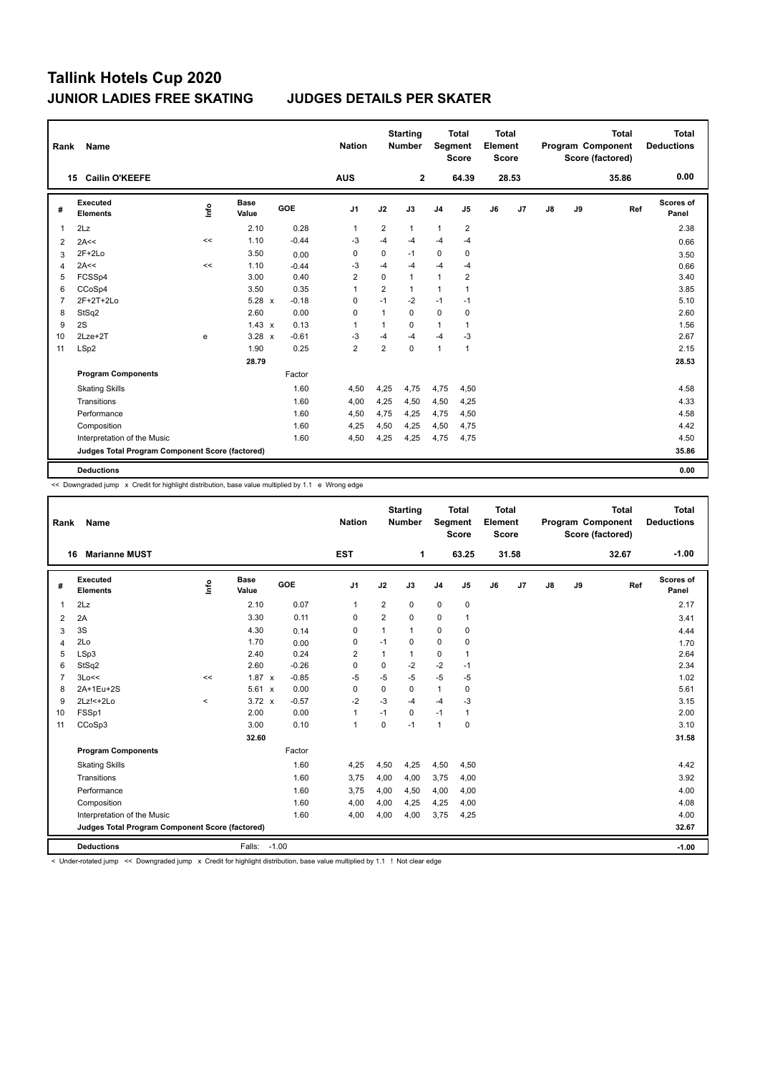| Rank                   | Name                                            |      |                      |            | <b>Nation</b>  |                | <b>Starting</b><br><b>Number</b> |                | <b>Total</b><br>Segment<br><b>Score</b> | <b>Total</b><br>Element<br><b>Score</b> |       |    |    | <b>Total</b><br>Program Component<br>Score (factored) | Total<br><b>Deductions</b> |
|------------------------|-------------------------------------------------|------|----------------------|------------|----------------|----------------|----------------------------------|----------------|-----------------------------------------|-----------------------------------------|-------|----|----|-------------------------------------------------------|----------------------------|
|                        | <b>Cailin O'KEEFE</b><br>15                     |      |                      |            | <b>AUS</b>     |                | $\mathbf{2}$                     |                | 64.39                                   |                                         | 28.53 |    |    | 35.86                                                 | 0.00                       |
| #                      | <b>Executed</b><br><b>Elements</b>              | ١nf٥ | <b>Base</b><br>Value | <b>GOE</b> | J <sub>1</sub> | J2             | J3                               | J <sub>4</sub> | J <sub>5</sub>                          | J6                                      | J7    | J8 | J9 | Ref                                                   | Scores of<br>Panel         |
|                        | 2Lz                                             |      | 2.10                 | 0.28       | 1              | $\overline{2}$ | $\mathbf{1}$                     | $\mathbf{1}$   | 2                                       |                                         |       |    |    |                                                       | 2.38                       |
| 2                      | 2A<<                                            | <<   | 1.10                 | $-0.44$    | $-3$           | $-4$           | $-4$                             | $-4$           | $-4$                                    |                                         |       |    |    |                                                       | 0.66                       |
| 3                      | $2F+2Lo$                                        |      | 3.50                 | 0.00       | 0              | 0              | $-1$                             | 0              | 0                                       |                                         |       |    |    |                                                       | 3.50                       |
| $\boldsymbol{\Lambda}$ | 2A<<                                            | <<   | 1.10                 | $-0.44$    | $-3$           | $-4$           | $-4$                             | $-4$           | $-4$                                    |                                         |       |    |    |                                                       | 0.66                       |
| 5                      | FCSSp4                                          |      | 3.00                 | 0.40       | $\overline{2}$ | $\mathbf 0$    | $\mathbf{1}$                     | $\mathbf{1}$   | 2                                       |                                         |       |    |    |                                                       | 3.40                       |
| 6                      | CCoSp4                                          |      | 3.50                 | 0.35       | 1              | $\overline{2}$ | $\mathbf{1}$                     | $\mathbf{1}$   | 1                                       |                                         |       |    |    |                                                       | 3.85                       |
|                        | 2F+2T+2Lo                                       |      | $5.28 \times$        | $-0.18$    | 0              | $-1$           | $-2$                             | $-1$           | $-1$                                    |                                         |       |    |    |                                                       | 5.10                       |
| 8                      | StSq2                                           |      | 2.60                 | 0.00       | 0              | 1              | 0                                | $\mathbf 0$    | 0                                       |                                         |       |    |    |                                                       | 2.60                       |
| 9                      | 2S                                              |      | $1.43 \times$        | 0.13       | 1              | 1              | 0                                | $\mathbf{1}$   | 1                                       |                                         |       |    |    |                                                       | 1.56                       |
| 10                     | $2$ Lze $+2$ T                                  | e    | $3.28 \times$        | $-0.61$    | -3             | $-4$           | $-4$                             | $-4$           | -3                                      |                                         |       |    |    |                                                       | 2.67                       |
| 11                     | LSp2                                            |      | 1.90                 | 0.25       | $\overline{2}$ | $\overline{2}$ | 0                                | $\mathbf{1}$   | 1                                       |                                         |       |    |    |                                                       | 2.15                       |
|                        |                                                 |      | 28.79                |            |                |                |                                  |                |                                         |                                         |       |    |    |                                                       | 28.53                      |
|                        | <b>Program Components</b>                       |      |                      | Factor     |                |                |                                  |                |                                         |                                         |       |    |    |                                                       |                            |
|                        | <b>Skating Skills</b>                           |      |                      | 1.60       | 4,50           | 4,25           | 4,75                             | 4,75           | 4,50                                    |                                         |       |    |    |                                                       | 4.58                       |
|                        | Transitions                                     |      |                      | 1.60       | 4,00           | 4,25           | 4,50                             | 4,50           | 4,25                                    |                                         |       |    |    |                                                       | 4.33                       |
|                        | Performance                                     |      |                      | 1.60       | 4,50           | 4,75           | 4,25                             | 4,75           | 4,50                                    |                                         |       |    |    |                                                       | 4.58                       |
|                        | Composition                                     |      |                      | 1.60       | 4,25           | 4,50           | 4,25                             | 4,50           | 4,75                                    |                                         |       |    |    |                                                       | 4.42                       |
|                        | Interpretation of the Music                     |      |                      | 1.60       | 4,50           | 4,25           | 4,25                             | 4,75           | 4,75                                    |                                         |       |    |    |                                                       | 4.50                       |
|                        | Judges Total Program Component Score (factored) |      |                      |            |                |                |                                  |                |                                         |                                         |       |    |    |                                                       | 35.86                      |
|                        | <b>Deductions</b>                               |      |                      |            |                |                |                                  |                |                                         |                                         |       |    |    |                                                       | 0.00                       |

<< Downgraded jump x Credit for highlight distribution, base value multiplied by 1.1 e Wrong edge

| Rank           | <b>Name</b>                                     |         |                      |            | <b>Nation</b>  |                | <b>Starting</b><br><b>Number</b> | Segment        | <b>Total</b><br><b>Score</b> | Total<br>Element<br><b>Score</b> |       |    |    | <b>Total</b><br>Program Component<br>Score (factored) | Total<br><b>Deductions</b> |
|----------------|-------------------------------------------------|---------|----------------------|------------|----------------|----------------|----------------------------------|----------------|------------------------------|----------------------------------|-------|----|----|-------------------------------------------------------|----------------------------|
|                | <b>Marianne MUST</b><br>16                      |         |                      |            | <b>EST</b>     |                | 1                                |                | 63.25                        |                                  | 31.58 |    |    | 32.67                                                 | $-1.00$                    |
| #              | <b>Executed</b><br><b>Elements</b>              | lnfo    | <b>Base</b><br>Value | <b>GOE</b> | J <sub>1</sub> | J2             | J3                               | J <sub>4</sub> | J <sub>5</sub>               | J6                               | J7    | J8 | J9 | Ref                                                   | Scores of<br>Panel         |
| $\overline{1}$ | 2Lz                                             |         | 2.10                 | 0.07       | $\mathbf{1}$   | $\overline{2}$ | 0                                | $\mathbf 0$    | $\mathbf 0$                  |                                  |       |    |    |                                                       | 2.17                       |
| 2              | 2A                                              |         | 3.30                 | 0.11       | 0              | $\overline{2}$ | 0                                | 0              | 1                            |                                  |       |    |    |                                                       | 3.41                       |
| 3              | 3S                                              |         | 4.30                 | 0.14       | 0              | 1              | $\mathbf{1}$                     | 0              | 0                            |                                  |       |    |    |                                                       | 4.44                       |
| $\overline{4}$ | 2Lo                                             |         | 1.70                 | 0.00       | $\mathbf 0$    | $-1$           | 0                                | $\mathbf 0$    | 0                            |                                  |       |    |    |                                                       | 1.70                       |
| 5              | LSp3                                            |         | 2.40                 | 0.24       | $\overline{2}$ | $\mathbf{1}$   | $\mathbf{1}$                     | 0              | 1                            |                                  |       |    |    |                                                       | 2.64                       |
| 6              | StSq2                                           |         | 2.60                 | $-0.26$    | $\mathbf 0$    | $\mathbf 0$    | $-2$                             | $-2$           | $-1$                         |                                  |       |    |    |                                                       | 2.34                       |
| $\overline{7}$ | 3Lo<<                                           | <<      | 1.87<br>$\mathsf{x}$ | $-0.85$    | -5             | $-5$           | $-5$                             | $-5$           | $-5$                         |                                  |       |    |    |                                                       | 1.02                       |
| 8              | 2A+1Eu+2S                                       |         | 5.61 x               | 0.00       | 0              | $\Omega$       | 0                                | 1              | 0                            |                                  |       |    |    |                                                       | 5.61                       |
| 9              | 2Lz!<+2Lo                                       | $\prec$ | $3.72 \times$        | $-0.57$    | $-2$           | $-3$           | $-4$                             | $-4$           | $-3$                         |                                  |       |    |    |                                                       | 3.15                       |
| 10             | FSSp1                                           |         | 2.00                 | 0.00       | $\mathbf{1}$   | $-1$           | $\Omega$                         | $-1$           | 1                            |                                  |       |    |    |                                                       | 2.00                       |
| 11             | CCoSp3                                          |         | 3.00                 | 0.10       | $\mathbf{1}$   | $\Omega$       | $-1$                             | $\mathbf{1}$   | $\mathbf 0$                  |                                  |       |    |    |                                                       | 3.10                       |
|                |                                                 |         | 32.60                |            |                |                |                                  |                |                              |                                  |       |    |    |                                                       | 31.58                      |
|                | <b>Program Components</b>                       |         |                      | Factor     |                |                |                                  |                |                              |                                  |       |    |    |                                                       |                            |
|                | <b>Skating Skills</b>                           |         |                      | 1.60       | 4,25           | 4,50           | 4,25                             | 4,50           | 4,50                         |                                  |       |    |    |                                                       | 4.42                       |
|                | Transitions                                     |         |                      | 1.60       | 3,75           | 4,00           | 4,00                             | 3,75           | 4,00                         |                                  |       |    |    |                                                       | 3.92                       |
|                | Performance                                     |         |                      | 1.60       | 3,75           | 4,00           | 4,50                             | 4,00           | 4,00                         |                                  |       |    |    |                                                       | 4.00                       |
|                | Composition                                     |         |                      | 1.60       | 4,00           | 4,00           | 4,25                             | 4,25           | 4,00                         |                                  |       |    |    |                                                       | 4.08                       |
|                | Interpretation of the Music                     |         |                      | 1.60       | 4,00           | 4,00           | 4,00                             | 3,75           | 4,25                         |                                  |       |    |    |                                                       | 4.00                       |
|                | Judges Total Program Component Score (factored) |         |                      |            |                |                |                                  |                |                              |                                  |       |    |    |                                                       | 32.67                      |
|                | <b>Deductions</b>                               |         | Falls:               | $-1.00$    |                |                |                                  |                |                              |                                  |       |    |    |                                                       | $-1.00$                    |

< Under-rotated jump << Downgraded jump x Credit for highlight distribution, base value multiplied by 1.1 ! Not clear edge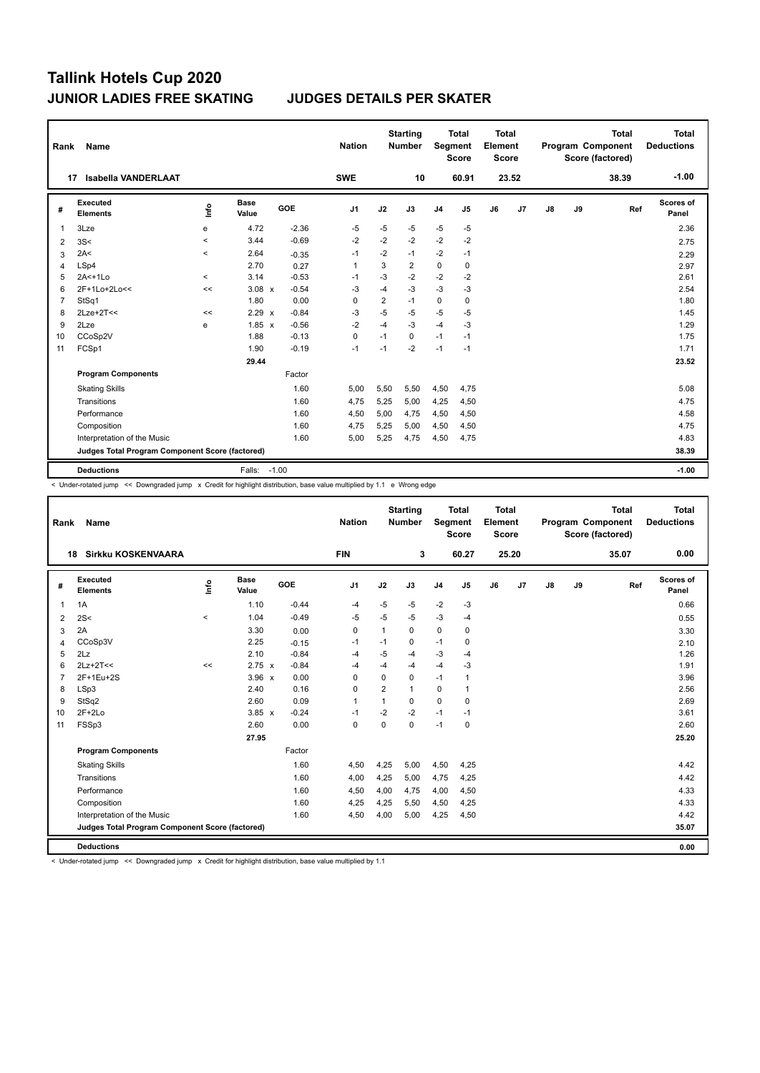| Rank           | <b>Name</b>                                     |         |                      |            | <b>Nation</b>  |      | <b>Starting</b><br><b>Number</b> | Segment        | <b>Total</b><br><b>Score</b> | <b>Total</b><br>Element<br>Score |                |               |    | <b>Total</b><br>Program Component<br>Score (factored) | <b>Total</b><br><b>Deductions</b> |
|----------------|-------------------------------------------------|---------|----------------------|------------|----------------|------|----------------------------------|----------------|------------------------------|----------------------------------|----------------|---------------|----|-------------------------------------------------------|-----------------------------------|
|                | <b>Isabella VANDERLAAT</b><br>17                |         |                      |            | <b>SWE</b>     |      | 10                               |                | 60.91                        |                                  | 23.52          |               |    | 38.39                                                 | $-1.00$                           |
| #              | Executed<br><b>Elements</b>                     | lnfo    | <b>Base</b><br>Value | <b>GOE</b> | J <sub>1</sub> | J2   | J3                               | J <sub>4</sub> | J <sub>5</sub>               | J6                               | J <sub>7</sub> | $\mathsf{J}8$ | J9 | Ref                                                   | Scores of<br>Panel                |
| $\mathbf{1}$   | 3Lze                                            | e       | 4.72                 | $-2.36$    | $-5$           | $-5$ | $-5$                             | $-5$           | $-5$                         |                                  |                |               |    |                                                       | 2.36                              |
| 2              | 3S<                                             | $\prec$ | 3.44                 | $-0.69$    | $-2$           | $-2$ | $-2$                             | $-2$           | $-2$                         |                                  |                |               |    |                                                       | 2.75                              |
| 3              | 2A<                                             | $\prec$ | 2.64                 | $-0.35$    | -1             | $-2$ | $-1$                             | $-2$           | $-1$                         |                                  |                |               |    |                                                       | 2.29                              |
| 4              | LSp4                                            |         | 2.70                 | 0.27       | $\mathbf{1}$   | 3    | 2                                | $\mathbf 0$    | 0                            |                                  |                |               |    |                                                       | 2.97                              |
| 5              | $2A<+1L0$                                       | $\prec$ | 3.14                 | $-0.53$    | $-1$           | $-3$ | $-2$                             | $-2$           | $-2$                         |                                  |                |               |    |                                                       | 2.61                              |
| 6              | 2F+1Lo+2Lo<<                                    | <<      | $3.08 \times$        | $-0.54$    | -3             | $-4$ | $-3$                             | $-3$           | $-3$                         |                                  |                |               |    |                                                       | 2.54                              |
| $\overline{7}$ | StSq1                                           |         | 1.80                 | 0.00       | 0              | 2    | $-1$                             | 0              | 0                            |                                  |                |               |    |                                                       | 1.80                              |
| 8              | $2$ Lze+ $2$ T<<                                | <<      | 2.29 x               | $-0.84$    | -3             | $-5$ | $-5$                             | $-5$           | $-5$                         |                                  |                |               |    |                                                       | 1.45                              |
| 9              | 2Lze                                            | e       | $1.85 \times$        | $-0.56$    | $-2$           | $-4$ | $-3$                             | $-4$           | -3                           |                                  |                |               |    |                                                       | 1.29                              |
| 10             | CCoSp2V                                         |         | 1.88                 | $-0.13$    | $\pmb{0}$      | $-1$ | 0                                | $-1$           | $-1$                         |                                  |                |               |    |                                                       | 1.75                              |
| 11             | FCSp1                                           |         | 1.90                 | $-0.19$    | $-1$           | $-1$ | $-2$                             | $-1$           | $-1$                         |                                  |                |               |    |                                                       | 1.71                              |
|                |                                                 |         | 29.44                |            |                |      |                                  |                |                              |                                  |                |               |    |                                                       | 23.52                             |
|                | <b>Program Components</b>                       |         |                      | Factor     |                |      |                                  |                |                              |                                  |                |               |    |                                                       |                                   |
|                | <b>Skating Skills</b>                           |         |                      | 1.60       | 5,00           | 5,50 | 5,50                             | 4,50           | 4,75                         |                                  |                |               |    |                                                       | 5.08                              |
|                | Transitions                                     |         |                      | 1.60       | 4,75           | 5,25 | 5,00                             | 4,25           | 4,50                         |                                  |                |               |    |                                                       | 4.75                              |
|                | Performance                                     |         |                      | 1.60       | 4,50           | 5,00 | 4,75                             | 4,50           | 4,50                         |                                  |                |               |    |                                                       | 4.58                              |
|                | Composition                                     |         |                      | 1.60       | 4,75           | 5,25 | 5,00                             | 4,50           | 4,50                         |                                  |                |               |    |                                                       | 4.75                              |
|                | Interpretation of the Music                     |         |                      | 1.60       | 5,00           | 5,25 | 4,75                             | 4,50           | 4,75                         |                                  |                |               |    |                                                       | 4.83                              |
|                | Judges Total Program Component Score (factored) |         |                      |            |                |      |                                  |                |                              |                                  |                |               |    |                                                       | 38.39                             |
|                | <b>Deductions</b>                               |         | Falls:               | $-1.00$    |                |      |                                  |                |                              |                                  |                |               |    |                                                       | $-1.00$                           |

< Under-rotated jump << Downgraded jump x Credit for highlight distribution, base value multiplied by 1.1 e Wrong edge

| Rank           | Name                                            |         |                      |         | <b>Nation</b>  |                | <b>Starting</b><br><b>Number</b> |                | <b>Total</b><br>Segment<br><b>Score</b> | Total<br>Element<br><b>Score</b> |       |    |    | <b>Total</b><br>Program Component<br>Score (factored) | Total<br><b>Deductions</b> |
|----------------|-------------------------------------------------|---------|----------------------|---------|----------------|----------------|----------------------------------|----------------|-----------------------------------------|----------------------------------|-------|----|----|-------------------------------------------------------|----------------------------|
|                | <b>Sirkku KOSKENVAARA</b><br>18                 |         |                      |         | <b>FIN</b>     |                | 3                                |                | 60.27                                   |                                  | 25.20 |    |    | 35.07                                                 | 0.00                       |
| #              | <b>Executed</b><br><b>Elements</b>              | ١nf٥    | <b>Base</b><br>Value | GOE     | J <sub>1</sub> | J2             | J3                               | J <sub>4</sub> | J5                                      | J6                               | J7    | J8 | J9 | Ref                                                   | Scores of<br>Panel         |
| 1              | 1A                                              |         | 1.10                 | $-0.44$ | $-4$           | $-5$           | $-5$                             | $-2$           | $-3$                                    |                                  |       |    |    |                                                       | 0.66                       |
| 2              | 2S<                                             | $\prec$ | 1.04                 | $-0.49$ | $-5$           | $-5$           | $-5$                             | $-3$           | $-4$                                    |                                  |       |    |    |                                                       | 0.55                       |
| 3              | 2A                                              |         | 3.30                 | 0.00    | 0              | $\mathbf{1}$   | 0                                | $\mathbf 0$    | 0                                       |                                  |       |    |    |                                                       | 3.30                       |
| 4              | CCoSp3V                                         |         | 2.25                 | $-0.15$ | $-1$           | $-1$           | $\mathbf 0$                      | $-1$           | 0                                       |                                  |       |    |    |                                                       | 2.10                       |
| 5              | 2Lz                                             |         | 2.10                 | $-0.84$ | $-4$           | $-5$           | $-4$                             | $-3$           | -4                                      |                                  |       |    |    |                                                       | 1.26                       |
| 6              | $2Lz+2T<<$                                      | <<      | $2.75 \times$        | $-0.84$ | $-4$           | $-4$           | $-4$                             | $-4$           | -3                                      |                                  |       |    |    |                                                       | 1.91                       |
| $\overline{7}$ | 2F+1Eu+2S                                       |         | $3.96 \times$        | 0.00    | 0              | $\mathbf 0$    | 0                                | $-1$           | 1                                       |                                  |       |    |    |                                                       | 3.96                       |
| 8              | LSp3                                            |         | 2.40                 | 0.16    | $\Omega$       | $\overline{2}$ | $\mathbf{1}$                     | 0              | $\overline{1}$                          |                                  |       |    |    |                                                       | 2.56                       |
| 9              | StSq2                                           |         | 2.60                 | 0.09    | 1              | $\mathbf{1}$   | 0                                | $\mathbf 0$    | $\pmb{0}$                               |                                  |       |    |    |                                                       | 2.69                       |
| 10             | $2F+2Lo$                                        |         | $3.85 \times$        | $-0.24$ | $-1$           | $-2$           | $-2$                             | $-1$           | $-1$                                    |                                  |       |    |    |                                                       | 3.61                       |
| 11             | FSSp3                                           |         | 2.60                 | 0.00    | $\mathbf 0$    | $\mathbf 0$    | $\mathbf 0$                      | $-1$           | $\mathbf 0$                             |                                  |       |    |    |                                                       | 2.60                       |
|                |                                                 |         | 27.95                |         |                |                |                                  |                |                                         |                                  |       |    |    |                                                       | 25.20                      |
|                | <b>Program Components</b>                       |         |                      | Factor  |                |                |                                  |                |                                         |                                  |       |    |    |                                                       |                            |
|                | <b>Skating Skills</b>                           |         |                      | 1.60    | 4,50           | 4,25           | 5,00                             | 4,50           | 4,25                                    |                                  |       |    |    |                                                       | 4.42                       |
|                | Transitions                                     |         |                      | 1.60    | 4,00           | 4,25           | 5,00                             | 4,75           | 4,25                                    |                                  |       |    |    |                                                       | 4.42                       |
|                | Performance                                     |         |                      | 1.60    | 4,50           | 4,00           | 4,75                             | 4,00           | 4,50                                    |                                  |       |    |    |                                                       | 4.33                       |
|                | Composition                                     |         |                      | 1.60    | 4,25           | 4,25           | 5,50                             | 4,50           | 4,25                                    |                                  |       |    |    |                                                       | 4.33                       |
|                | Interpretation of the Music                     |         |                      | 1.60    | 4,50           | 4,00           | 5,00                             | 4,25           | 4,50                                    |                                  |       |    |    |                                                       | 4.42                       |
|                | Judges Total Program Component Score (factored) |         |                      |         |                |                |                                  |                |                                         |                                  |       |    |    |                                                       | 35.07                      |
|                | <b>Deductions</b>                               |         |                      |         |                |                |                                  |                |                                         |                                  |       |    |    |                                                       | 0.00                       |

< Under-rotated jump << Downgraded jump x Credit for highlight distribution, base value multiplied by 1.1